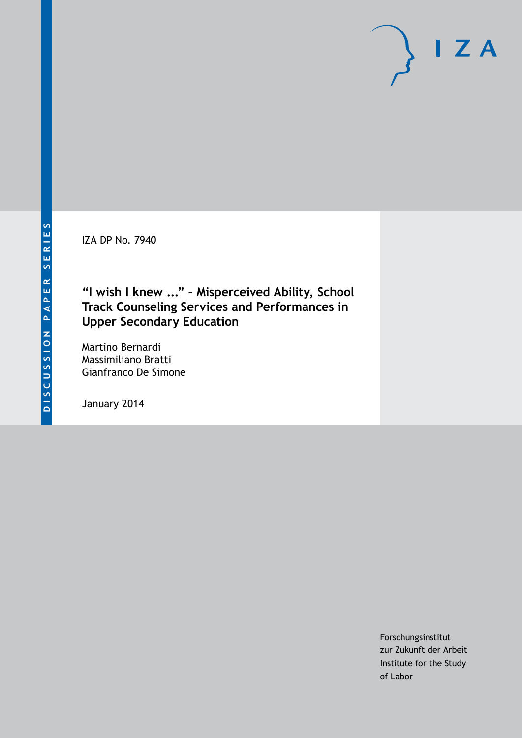IZA DP No. 7940

## **"I wish I knew ..." – Misperceived Ability, School Track Counseling Services and Performances in Upper Secondary Education**

Martino Bernardi Massimiliano Bratti Gianfranco De Simone

January 2014

Forschungsinstitut zur Zukunft der Arbeit Institute for the Study of Labor

 $I Z A$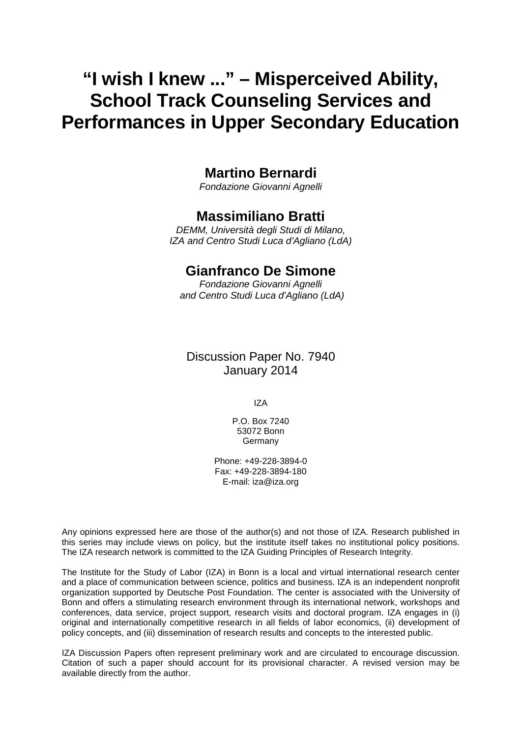# **"I wish I knew ..." – Misperceived Ability, School Track Counseling Services and Performances in Upper Secondary Education**

## **Martino Bernardi**

*Fondazione Giovanni Agnelli*

### **Massimiliano Bratti**

*DEMM, Università degli Studi di Milano, IZA and Centro Studi Luca d'Agliano (LdA)*

## **Gianfranco De Simone**

*Fondazione Giovanni Agnelli and Centro Studi Luca d'Agliano (LdA)*

Discussion Paper No. 7940 January 2014

IZA

P.O. Box 7240 53072 Bonn **Germany** 

Phone: +49-228-3894-0 Fax: +49-228-3894-180 E-mail: [iza@iza.org](mailto:iza@iza.org)

Any opinions expressed here are those of the author(s) and not those of IZA. Research published in this series may include views on policy, but the institute itself takes no institutional policy positions. The IZA research network is committed to the IZA Guiding Principles of Research Integrity.

The Institute for the Study of Labor (IZA) in Bonn is a local and virtual international research center and a place of communication between science, politics and business. IZA is an independent nonprofit organization supported by Deutsche Post Foundation. The center is associated with the University of Bonn and offers a stimulating research environment through its international network, workshops and conferences, data service, project support, research visits and doctoral program. IZA engages in (i) original and internationally competitive research in all fields of labor economics, (ii) development of policy concepts, and (iii) dissemination of research results and concepts to the interested public.

<span id="page-1-0"></span>IZA Discussion Papers often represent preliminary work and are circulated to encourage discussion. Citation of such a paper should account for its provisional character. A revised version may be available directly from the author.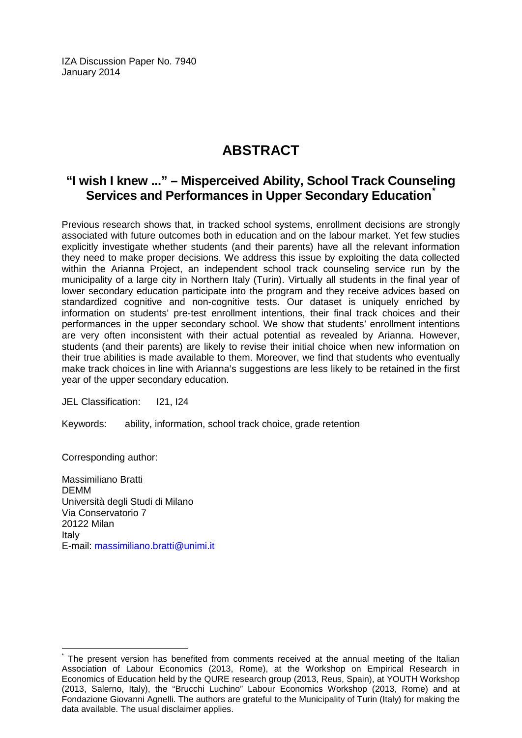IZA Discussion Paper No. 7940 January 2014

# **ABSTRACT**

## **"I wish I knew ..." – Misperceived Ability, School Track Counseling Services and Performances in Upper Secondary Education[\\*](#page-1-0)**

Previous research shows that, in tracked school systems, enrollment decisions are strongly associated with future outcomes both in education and on the labour market. Yet few studies explicitly investigate whether students (and their parents) have all the relevant information they need to make proper decisions. We address this issue by exploiting the data collected within the Arianna Project, an independent school track counseling service run by the municipality of a large city in Northern Italy (Turin). Virtually all students in the final year of lower secondary education participate into the program and they receive advices based on standardized cognitive and non-cognitive tests. Our dataset is uniquely enriched by information on students' pre-test enrollment intentions, their final track choices and their performances in the upper secondary school. We show that students' enrollment intentions are very often inconsistent with their actual potential as revealed by Arianna. However, students (and their parents) are likely to revise their initial choice when new information on their true abilities is made available to them. Moreover, we find that students who eventually make track choices in line with Arianna's suggestions are less likely to be retained in the first year of the upper secondary education.

JEL Classification: I21, I24

Keywords: ability, information, school track choice, grade retention

Corresponding author:

Massimiliano Bratti DEMM Università degli Studi di Milano Via Conservatorio 7 20122 Milan Italy E-mail: [massimiliano.bratti@unimi.it](mailto:massimiliano.bratti@unimi.it)

The present version has benefited from comments received at the annual meeting of the Italian Association of Labour Economics (2013, Rome), at the Workshop on Empirical Research in Economics of Education held by the QURE research group (2013, Reus, Spain), at YOUTH Workshop (2013, Salerno, Italy), the "Brucchi Luchino" Labour Economics Workshop (2013, Rome) and at Fondazione Giovanni Agnelli. The authors are grateful to the Municipality of Turin (Italy) for making the data available. The usual disclaimer applies.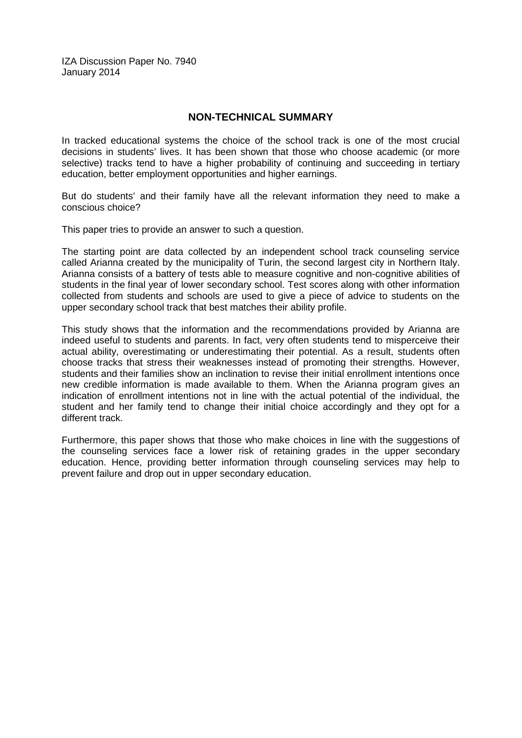IZA Discussion Paper No. 7940 January 2014

#### **NON-TECHNICAL SUMMARY**

In tracked educational systems the choice of the school track is one of the most crucial decisions in students' lives. It has been shown that those who choose academic (or more selective) tracks tend to have a higher probability of continuing and succeeding in tertiary education, better employment opportunities and higher earnings.

But do students' and their family have all the relevant information they need to make a conscious choice?

This paper tries to provide an answer to such a question.

The starting point are data collected by an independent school track counseling service called Arianna created by the municipality of Turin, the second largest city in Northern Italy. Arianna consists of a battery of tests able to measure cognitive and non-cognitive abilities of students in the final year of lower secondary school. Test scores along with other information collected from students and schools are used to give a piece of advice to students on the upper secondary school track that best matches their ability profile.

This study shows that the information and the recommendations provided by Arianna are indeed useful to students and parents. In fact, very often students tend to misperceive their actual ability, overestimating or underestimating their potential. As a result, students often choose tracks that stress their weaknesses instead of promoting their strengths. However, students and their families show an inclination to revise their initial enrollment intentions once new credible information is made available to them. When the Arianna program gives an indication of enrollment intentions not in line with the actual potential of the individual, the student and her family tend to change their initial choice accordingly and they opt for a different track.

Furthermore, this paper shows that those who make choices in line with the suggestions of the counseling services face a lower risk of retaining grades in the upper secondary education. Hence, providing better information through counseling services may help to prevent failure and drop out in upper secondary education.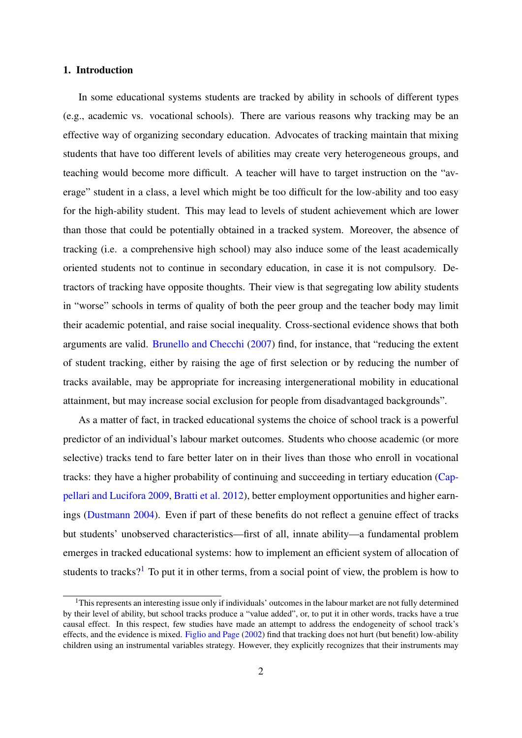#### 1. Introduction

In some educational systems students are tracked by ability in schools of different types (e.g., academic vs. vocational schools). There are various reasons why tracking may be an effective way of organizing secondary education. Advocates of tracking maintain that mixing students that have too different levels of abilities may create very heterogeneous groups, and teaching would become more difficult. A teacher will have to target instruction on the "average" student in a class, a level which might be too difficult for the low-ability and too easy for the high-ability student. This may lead to levels of student achievement which are lower than those that could be potentially obtained in a tracked system. Moreover, the absence of tracking (i.e. a comprehensive high school) may also induce some of the least academically oriented students not to continue in secondary education, in case it is not compulsory. Detractors of tracking have opposite thoughts. Their view is that segregating low ability students in "worse" schools in terms of quality of both the peer group and the teacher body may limit their academic potential, and raise social inequality. Cross-sectional evidence shows that both arguments are valid. [Brunello and Checchi](#page-32-0) [\(2007\)](#page-32-0) find, for instance, that "reducing the extent of student tracking, either by raising the age of first selection or by reducing the number of tracks available, may be appropriate for increasing intergenerational mobility in educational attainment, but may increase social exclusion for people from disadvantaged backgrounds".

As a matter of fact, in tracked educational systems the choice of school track is a powerful predictor of an individual's labour market outcomes. Students who choose academic (or more selective) tracks tend to fare better later on in their lives than those who enroll in vocational tracks: they have a higher probability of continuing and succeeding in tertiary education [\(Cap](#page-32-1)[pellari and Lucifora](#page-32-1) [2009,](#page-32-1) [Bratti et al.](#page-32-2) [2012\)](#page-32-2), better employment opportunities and higher earnings [\(Dustmann](#page-33-0) [2004\)](#page-33-0). Even if part of these benefits do not reflect a genuine effect of tracks but students' unobserved characteristics—first of all, innate ability—a fundamental problem emerges in tracked educational systems: how to implement an efficient system of allocation of students to tracks?<sup>[1](#page--1-0)</sup> To put it in other terms, from a social point of view, the problem is how to

 $1<sup>1</sup>$ This represents an interesting issue only if individuals' outcomes in the labour market are not fully determined by their level of ability, but school tracks produce a "value added", or, to put it in other words, tracks have a true causal effect. In this respect, few studies have made an attempt to address the endogeneity of school track's effects, and the evidence is mixed. [Figlio and Page](#page-33-1) [\(2002\)](#page-33-1) find that tracking does not hurt (but benefit) low-ability children using an instrumental variables strategy. However, they explicitly recognizes that their instruments may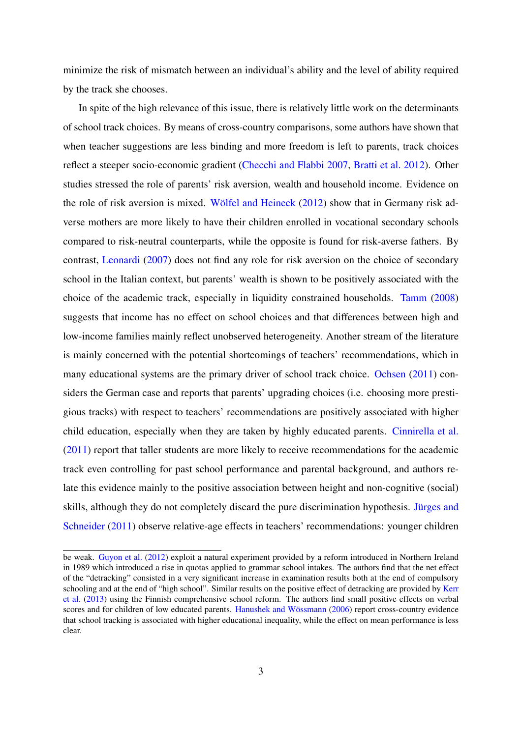minimize the risk of mismatch between an individual's ability and the level of ability required by the track she chooses.

In spite of the high relevance of this issue, there is relatively little work on the determinants of school track choices. By means of cross-country comparisons, some authors have shown that when teacher suggestions are less binding and more freedom is left to parents, track choices reflect a steeper socio-economic gradient [\(Checchi and Flabbi](#page-32-3) [2007,](#page-32-3) [Bratti et al.](#page-32-2) [2012\)](#page-32-2). Other studies stressed the role of parents' risk aversion, wealth and household income. Evidence on the role of risk aversion is mixed. [Wölfel and Heineck](#page-34-0) [\(2012\)](#page-34-0) show that in Germany risk adverse mothers are more likely to have their children enrolled in vocational secondary schools compared to risk-neutral counterparts, while the opposite is found for risk-averse fathers. By contrast, [Leonardi](#page-33-2) [\(2007\)](#page-33-2) does not find any role for risk aversion on the choice of secondary school in the Italian context, but parents' wealth is shown to be positively associated with the choice of the academic track, especially in liquidity constrained households. [Tamm](#page-33-3) [\(2008\)](#page-33-3) suggests that income has no effect on school choices and that differences between high and low-income families mainly reflect unobserved heterogeneity. Another stream of the literature is mainly concerned with the potential shortcomings of teachers' recommendations, which in many educational systems are the primary driver of school track choice. [Ochsen](#page-33-4) [\(2011\)](#page-33-4) considers the German case and reports that parents' upgrading choices (i.e. choosing more prestigious tracks) with respect to teachers' recommendations are positively associated with higher child education, especially when they are taken by highly educated parents. [Cinnirella et al.](#page-32-4) [\(2011\)](#page-32-4) report that taller students are more likely to receive recommendations for the academic track even controlling for past school performance and parental background, and authors relate this evidence mainly to the positive association between height and non-cognitive (social) skills, although they do not completely discard the pure discrimination hypothesis. [Jürges and](#page-33-5) [Schneider](#page-33-5) [\(2011\)](#page-33-5) observe relative-age effects in teachers' recommendations: younger children

be weak. [Guyon et al.](#page-33-6) [\(2012\)](#page-33-6) exploit a natural experiment provided by a reform introduced in Northern Ireland in 1989 which introduced a rise in quotas applied to grammar school intakes. The authors find that the net effect of the "detracking" consisted in a very significant increase in examination results both at the end of compulsory schooling and at the end of "high school". Similar results on the positive effect of detracking are provided by [Kerr](#page-33-7) [et al.](#page-33-7) [\(2013\)](#page-33-7) using the Finnish comprehensive school reform. The authors find small positive effects on verbal scores and for children of low educated parents. [Hanushek and Wössmann](#page-33-8) [\(2006\)](#page-33-8) report cross-country evidence that school tracking is associated with higher educational inequality, while the effect on mean performance is less clear.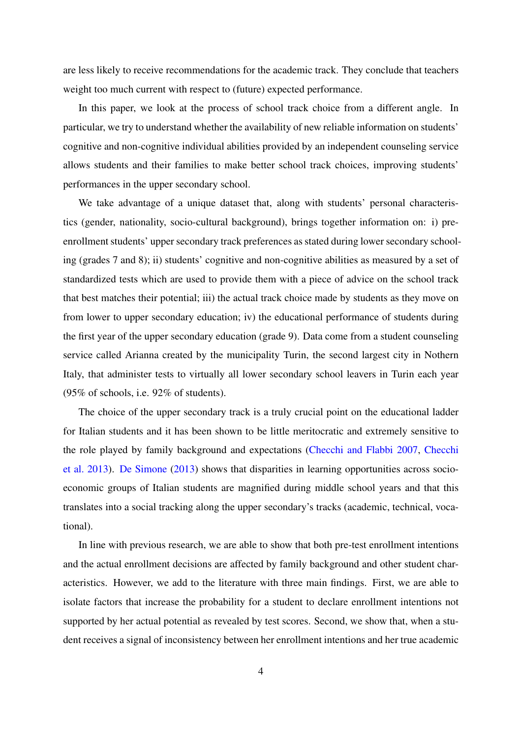are less likely to receive recommendations for the academic track. They conclude that teachers weight too much current with respect to (future) expected performance.

In this paper, we look at the process of school track choice from a different angle. In particular, we try to understand whether the availability of new reliable information on students' cognitive and non-cognitive individual abilities provided by an independent counseling service allows students and their families to make better school track choices, improving students' performances in the upper secondary school.

We take advantage of a unique dataset that, along with students' personal characteristics (gender, nationality, socio-cultural background), brings together information on: i) preenrollment students' upper secondary track preferences as stated during lower secondary schooling (grades 7 and 8); ii) students' cognitive and non-cognitive abilities as measured by a set of standardized tests which are used to provide them with a piece of advice on the school track that best matches their potential; iii) the actual track choice made by students as they move on from lower to upper secondary education; iv) the educational performance of students during the first year of the upper secondary education (grade 9). Data come from a student counseling service called Arianna created by the municipality Turin, the second largest city in Nothern Italy, that administer tests to virtually all lower secondary school leavers in Turin each year (95% of schools, i.e. 92% of students).

The choice of the upper secondary track is a truly crucial point on the educational ladder for Italian students and it has been shown to be little meritocratic and extremely sensitive to the role played by family background and expectations [\(Checchi and Flabbi](#page-32-3) [2007,](#page-32-3) [Checchi](#page-32-5) [et al.](#page-32-5) [2013\)](#page-32-5). [De Simone](#page-33-9) [\(2013\)](#page-33-9) shows that disparities in learning opportunities across socioeconomic groups of Italian students are magnified during middle school years and that this translates into a social tracking along the upper secondary's tracks (academic, technical, vocational).

In line with previous research, we are able to show that both pre-test enrollment intentions and the actual enrollment decisions are affected by family background and other student characteristics. However, we add to the literature with three main findings. First, we are able to isolate factors that increase the probability for a student to declare enrollment intentions not supported by her actual potential as revealed by test scores. Second, we show that, when a student receives a signal of inconsistency between her enrollment intentions and her true academic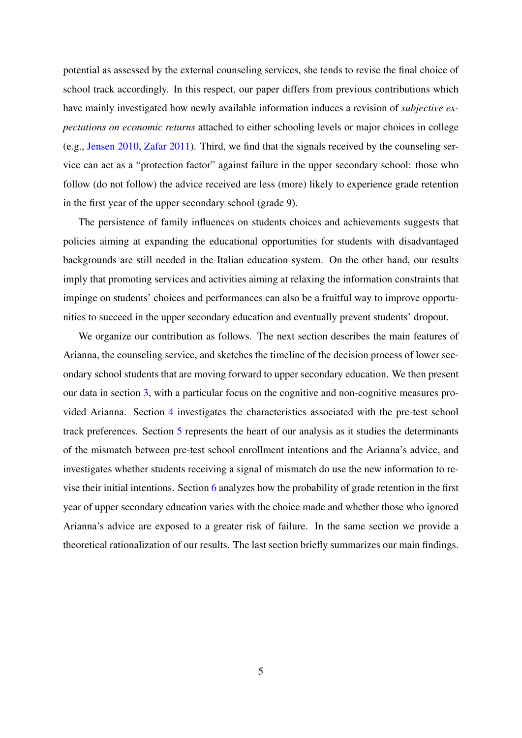potential as assessed by the external counseling services, she tends to revise the final choice of school track accordingly. In this respect, our paper differs from previous contributions which have mainly investigated how newly available information induces a revision of *subjective expectations on economic returns* attached to either schooling levels or major choices in college (e.g., [Jensen](#page-33-10) [2010,](#page-33-10) [Zafar](#page-34-1) [2011\)](#page-34-1). Third, we find that the signals received by the counseling service can act as a "protection factor" against failure in the upper secondary school: those who follow (do not follow) the advice received are less (more) likely to experience grade retention in the first year of the upper secondary school (grade 9).

The persistence of family influences on students choices and achievements suggests that policies aiming at expanding the educational opportunities for students with disadvantaged backgrounds are still needed in the Italian education system. On the other hand, our results imply that promoting services and activities aiming at relaxing the information constraints that impinge on students' choices and performances can also be a fruitful way to improve opportunities to succeed in the upper secondary education and eventually prevent students' dropout.

We organize our contribution as follows. The next section describes the main features of Arianna, the counseling service, and sketches the timeline of the decision process of lower secondary school students that are moving forward to upper secondary education. We then present our data in section [3,](#page-9-0) with a particular focus on the cognitive and non-cognitive measures provided Arianna. Section [4](#page-11-0) investigates the characteristics associated with the pre-test school track preferences. Section [5](#page-15-0) represents the heart of our analysis as it studies the determinants of the mismatch between pre-test school enrollment intentions and the Arianna's advice, and investigates whether students receiving a signal of mismatch do use the new information to revise their initial intentions. Section [6](#page-22-0) analyzes how the probability of grade retention in the first year of upper secondary education varies with the choice made and whether those who ignored Arianna's advice are exposed to a greater risk of failure. In the same section we provide a theoretical rationalization of our results. The last section briefly summarizes our main findings.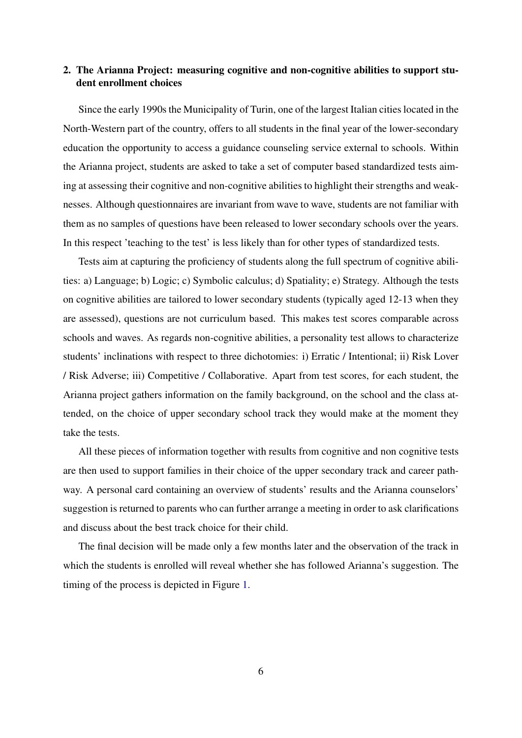#### 2. The Arianna Project: measuring cognitive and non-cognitive abilities to support student enrollment choices

Since the early 1990s the Municipality of Turin, one of the largest Italian cities located in the North-Western part of the country, offers to all students in the final year of the lower-secondary education the opportunity to access a guidance counseling service external to schools. Within the Arianna project, students are asked to take a set of computer based standardized tests aiming at assessing their cognitive and non-cognitive abilities to highlight their strengths and weaknesses. Although questionnaires are invariant from wave to wave, students are not familiar with them as no samples of questions have been released to lower secondary schools over the years. In this respect 'teaching to the test' is less likely than for other types of standardized tests.

Tests aim at capturing the proficiency of students along the full spectrum of cognitive abilities: a) Language; b) Logic; c) Symbolic calculus; d) Spatiality; e) Strategy. Although the tests on cognitive abilities are tailored to lower secondary students (typically aged 12-13 when they are assessed), questions are not curriculum based. This makes test scores comparable across schools and waves. As regards non-cognitive abilities, a personality test allows to characterize students' inclinations with respect to three dichotomies: i) Erratic / Intentional; ii) Risk Lover / Risk Adverse; iii) Competitive / Collaborative. Apart from test scores, for each student, the Arianna project gathers information on the family background, on the school and the class attended, on the choice of upper secondary school track they would make at the moment they take the tests.

All these pieces of information together with results from cognitive and non cognitive tests are then used to support families in their choice of the upper secondary track and career pathway. A personal card containing an overview of students' results and the Arianna counselors' suggestion is returned to parents who can further arrange a meeting in order to ask clarifications and discuss about the best track choice for their child.

The final decision will be made only a few months later and the observation of the track in which the students is enrolled will reveal whether she has followed Arianna's suggestion. The timing of the process is depicted in Figure [1.](#page-9-1)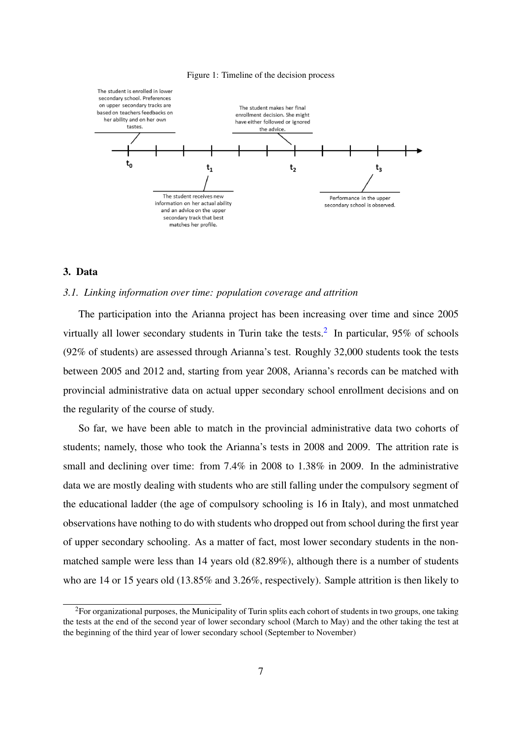<span id="page-9-1"></span>



#### <span id="page-9-0"></span>3. Data

#### *3.1. Linking information over time: population coverage and attrition*

The participation into the Arianna project has been increasing over time and since 2005 virtually all lower secondary students in Turin take the tests.<sup>[2](#page--1-0)</sup> In particular,  $95\%$  of schools (92% of students) are assessed through Arianna's test. Roughly 32,000 students took the tests between 2005 and 2012 and, starting from year 2008, Arianna's records can be matched with provincial administrative data on actual upper secondary school enrollment decisions and on the regularity of the course of study.

So far, we have been able to match in the provincial administrative data two cohorts of students; namely, those who took the Arianna's tests in 2008 and 2009. The attrition rate is small and declining over time: from 7.4% in 2008 to 1.38% in 2009. In the administrative data we are mostly dealing with students who are still falling under the compulsory segment of the educational ladder (the age of compulsory schooling is 16 in Italy), and most unmatched observations have nothing to do with students who dropped out from school during the first year of upper secondary schooling. As a matter of fact, most lower secondary students in the nonmatched sample were less than 14 years old (82.89%), although there is a number of students who are 14 or 15 years old (13.85% and 3.26%, respectively). Sample attrition is then likely to

 ${}^{2}$ For organizational purposes, the Municipality of Turin splits each cohort of students in two groups, one taking the tests at the end of the second year of lower secondary school (March to May) and the other taking the test at the beginning of the third year of lower secondary school (September to November)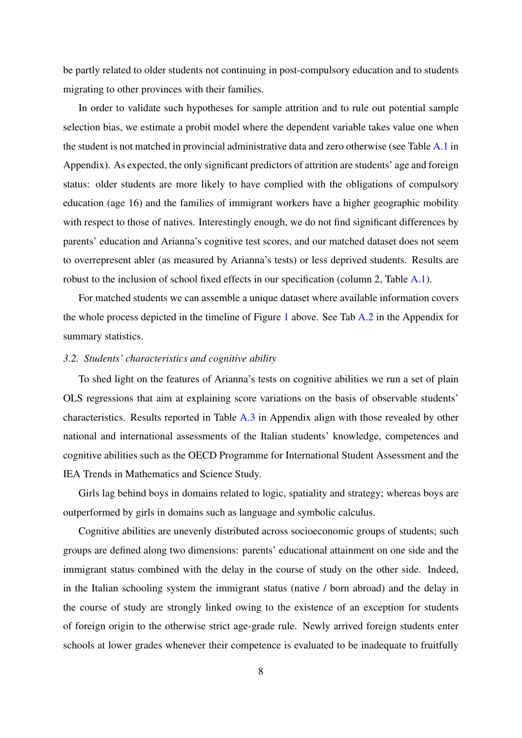be partly related to older students not continuing in post-compulsory education and to students migrating to other provinces with their families.

In order to validate such hypotheses for sample attrition and to rule out potential sample selection bias, we estimate a probit model where the dependent variable takes value one when the student is not matched in provincial administrative data and zero otherwise (see Table [A.1](#page-34-2) in Appendix). As expected, the only significant predictors of attrition are students' age and foreign status: older students are more likely to have complied with the obligations of compulsory education (age 16) and the families of immigrant workers have a higher geographic mobility with respect to those of natives. Interestingly enough, we do not find significant differences by parents' education and Arianna's cognitive test scores, and our matched dataset does not seem to overrepresent abler (as measured by Arianna's tests) or less deprived students. Results are robust to the inclusion of school fixed effects in our specification (column 2, Table [A.1\)](#page-34-2).

For matched students we can assemble a unique dataset where available information covers the whole process depicted in the timeline of Figure [1](#page-9-1) above. See Tab [A.2](#page-35-0) in the Appendix for summary statistics.

#### *3.2. Students' characteristics and cognitive ability*

To shed light on the features of Arianna's tests on cognitive abilities we run a set of plain OLS regressions that aim at explaining score variations on the basis of observable students' characteristics. Results reported in Table [A.3](#page-36-0) in Appendix align with those revealed by other national and international assessments of the Italian students' knowledge, competences and cognitive abilities such as the OECD Programme for International Student Assessment and the IEA Trends in Mathematics and Science Study.

Girls lag behind boys in domains related to logic, spatiality and strategy; whereas boys are outperformed by girls in domains such as language and symbolic calculus.

Cognitive abilities are unevenly distributed across socioeconomic groups of students; such groups are defined along two dimensions: parents' educational attainment on one side and the immigrant status combined with the delay in the course of study on the other side. Indeed, in the Italian schooling system the immigrant status (native / born abroad) and the delay in the course of study are strongly linked owing to the existence of an exception for students of foreign origin to the otherwise strict age-grade rule. Newly arrived foreign students enter schools at lower grades whenever their competence is evaluated to be inadequate to fruitfully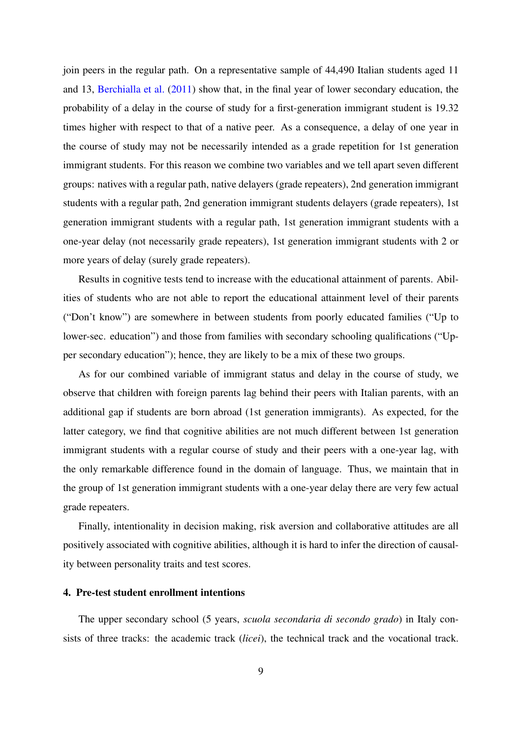join peers in the regular path. On a representative sample of 44,490 Italian students aged 11 and 13, [Berchialla et al.](#page-32-6) [\(2011\)](#page-32-6) show that, in the final year of lower secondary education, the probability of a delay in the course of study for a first-generation immigrant student is 19.32 times higher with respect to that of a native peer. As a consequence, a delay of one year in the course of study may not be necessarily intended as a grade repetition for 1st generation immigrant students. For this reason we combine two variables and we tell apart seven different groups: natives with a regular path, native delayers (grade repeaters), 2nd generation immigrant students with a regular path, 2nd generation immigrant students delayers (grade repeaters), 1st generation immigrant students with a regular path, 1st generation immigrant students with a one-year delay (not necessarily grade repeaters), 1st generation immigrant students with 2 or more years of delay (surely grade repeaters).

Results in cognitive tests tend to increase with the educational attainment of parents. Abilities of students who are not able to report the educational attainment level of their parents ("Don't know") are somewhere in between students from poorly educated families ("Up to lower-sec. education") and those from families with secondary schooling qualifications ("Upper secondary education"); hence, they are likely to be a mix of these two groups.

As for our combined variable of immigrant status and delay in the course of study, we observe that children with foreign parents lag behind their peers with Italian parents, with an additional gap if students are born abroad (1st generation immigrants). As expected, for the latter category, we find that cognitive abilities are not much different between 1st generation immigrant students with a regular course of study and their peers with a one-year lag, with the only remarkable difference found in the domain of language. Thus, we maintain that in the group of 1st generation immigrant students with a one-year delay there are very few actual grade repeaters.

Finally, intentionality in decision making, risk aversion and collaborative attitudes are all positively associated with cognitive abilities, although it is hard to infer the direction of causality between personality traits and test scores.

#### <span id="page-11-0"></span>4. Pre-test student enrollment intentions

The upper secondary school (5 years, *scuola secondaria di secondo grado*) in Italy consists of three tracks: the academic track (*licei*), the technical track and the vocational track.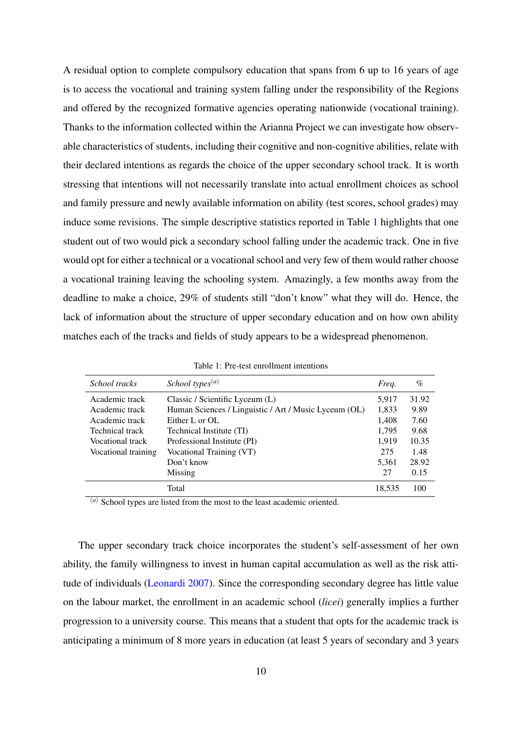A residual option to complete compulsory education that spans from 6 up to 16 years of age is to access the vocational and training system falling under the responsibility of the Regions and offered by the recognized formative agencies operating nationwide (vocational training). Thanks to the information collected within the Arianna Project we can investigate how observable characteristics of students, including their cognitive and non-cognitive abilities, relate with their declared intentions as regards the choice of the upper secondary school track. It is worth stressing that intentions will not necessarily translate into actual enrollment choices as school and family pressure and newly available information on ability (test scores, school grades) may induce some revisions. The simple descriptive statistics reported in Table [1](#page-12-0) highlights that one student out of two would pick a secondary school falling under the academic track. One in five would opt for either a technical or a vocational school and very few of them would rather choose a vocational training leaving the schooling system. Amazingly, a few months away from the deadline to make a choice, 29% of students still "don't know" what they will do. Hence, the lack of information about the structure of upper secondary education and on how own ability matches each of the tracks and fields of study appears to be a widespread phenomenon.

| School tracks       | School types <sup><math>(a)</math></sup>              | Freq.  | $\%$  |
|---------------------|-------------------------------------------------------|--------|-------|
| Academic track      | Classic / Scientific Lyceum (L)                       | 5,917  | 31.92 |
| Academic track      | Human Sciences / Linguistic / Art / Music Lyceum (OL) | 1,833  | 9.89  |
| Academic track      | Either L or OL                                        | 1,408  | 7.60  |
| Technical track     | Technical Institute (TI)                              | 1,795  | 9.68  |
| Vocational track    | Professional Institute (PI)                           | 1,919  | 10.35 |
| Vocational training | Vocational Training (VT)                              | 275    | 1.48  |
|                     | Don't know                                            | 5,361  | 28.92 |
|                     | Missing                                               | 27     | 0.15  |
|                     | Total                                                 | 18,535 | 100   |

<span id="page-12-0"></span>Table 1: Pre-test enrollment intentions

(*a*) School types are listed from the most to the least academic oriented.

The upper secondary track choice incorporates the student's self-assessment of her own ability, the family willingness to invest in human capital accumulation as well as the risk attitude of individuals [\(Leonardi](#page-33-2) [2007\)](#page-33-2). Since the corresponding secondary degree has little value on the labour market, the enrollment in an academic school (*licei*) generally implies a further progression to a university course. This means that a student that opts for the academic track is anticipating a minimum of 8 more years in education (at least 5 years of secondary and 3 years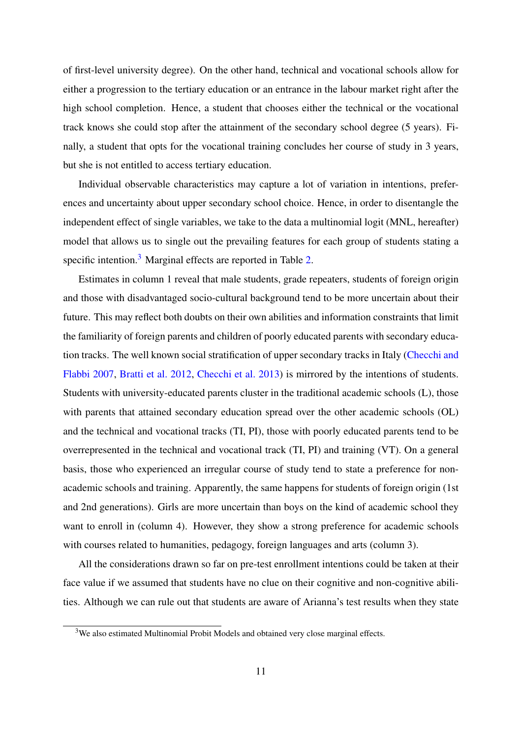of first-level university degree). On the other hand, technical and vocational schools allow for either a progression to the tertiary education or an entrance in the labour market right after the high school completion. Hence, a student that chooses either the technical or the vocational track knows she could stop after the attainment of the secondary school degree (5 years). Finally, a student that opts for the vocational training concludes her course of study in 3 years, but she is not entitled to access tertiary education.

Individual observable characteristics may capture a lot of variation in intentions, preferences and uncertainty about upper secondary school choice. Hence, in order to disentangle the independent effect of single variables, we take to the data a multinomial logit (MNL, hereafter) model that allows us to single out the prevailing features for each group of students stating a specific intention.<sup>[3](#page--1-0)</sup> Marginal effects are reported in Table [2.](#page-14-0)

Estimates in column 1 reveal that male students, grade repeaters, students of foreign origin and those with disadvantaged socio-cultural background tend to be more uncertain about their future. This may reflect both doubts on their own abilities and information constraints that limit the familiarity of foreign parents and children of poorly educated parents with secondary education tracks. The well known social stratification of upper secondary tracks in Italy [\(Checchi and](#page-32-3) [Flabbi](#page-32-3) [2007,](#page-32-3) [Bratti et al.](#page-32-2) [2012,](#page-32-2) [Checchi et al.](#page-32-5) [2013\)](#page-32-5) is mirrored by the intentions of students. Students with university-educated parents cluster in the traditional academic schools (L), those with parents that attained secondary education spread over the other academic schools (OL) and the technical and vocational tracks (TI, PI), those with poorly educated parents tend to be overrepresented in the technical and vocational track (TI, PI) and training (VT). On a general basis, those who experienced an irregular course of study tend to state a preference for nonacademic schools and training. Apparently, the same happens for students of foreign origin (1st and 2nd generations). Girls are more uncertain than boys on the kind of academic school they want to enroll in (column 4). However, they show a strong preference for academic schools with courses related to humanities, pedagogy, foreign languages and arts (column 3).

All the considerations drawn so far on pre-test enrollment intentions could be taken at their face value if we assumed that students have no clue on their cognitive and non-cognitive abilities. Although we can rule out that students are aware of Arianna's test results when they state

<sup>&</sup>lt;sup>3</sup>We also estimated Multinomial Probit Models and obtained very close marginal effects.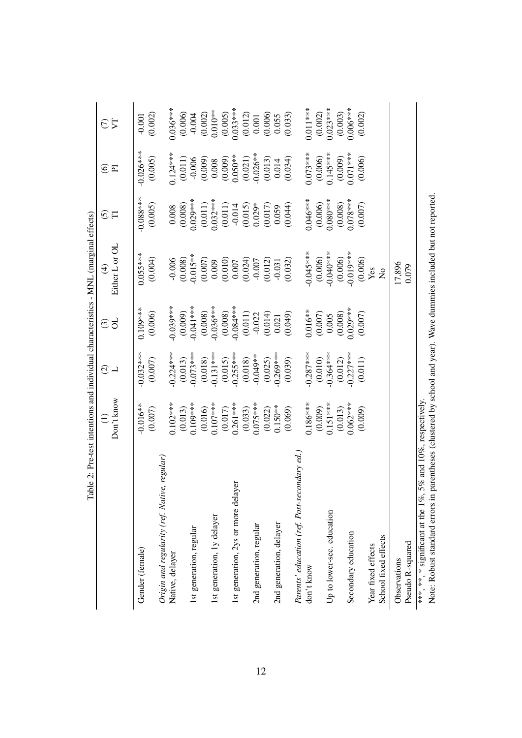<span id="page-14-0"></span>

|                                                                                                      |                       |                          |                             | Table 2: Pre-test intentions and individual characteristics - MNL (marginal effects) |                              |                                  |               |
|------------------------------------------------------------------------------------------------------|-----------------------|--------------------------|-----------------------------|--------------------------------------------------------------------------------------|------------------------------|----------------------------------|---------------|
|                                                                                                      | Don't know            | ⊙ ⊣                      | đ<br>$\widehat{\mathbb{G}}$ | Either L or OL<br>$\bigoplus$                                                        | $\widehat{\mathcal{C}}$<br>F | $\circledcirc$<br>$\overline{p}$ | $\nabla$<br>E |
|                                                                                                      |                       |                          |                             |                                                                                      |                              |                                  |               |
| Gender (female)                                                                                      | $-0.016**$            | $-0.032***$              | $0.109***$                  | $0.055***$                                                                           | $-0.088***$                  | $-0.026***$                      | $-0.001$      |
|                                                                                                      | (0.007)               | (0.007)                  | (0.006)                     | (0.004)                                                                              | (0.005)                      | (0.005)                          | (0.002)       |
| Origin and regularity (ref. Native, regular)                                                         |                       |                          |                             |                                                                                      |                              |                                  |               |
| Native, delayer                                                                                      | $0.102***$            | $-0.224***$              | $-0.039***$                 | $-0.006$                                                                             | 0.008                        | $0.124***$                       | $0.036***$    |
|                                                                                                      | (0.013)               | (0.013)                  | (0.009)                     | (0.008)                                                                              | (0.008)                      | (0.011)                          | (0.006)       |
| 1st generation, regular                                                                              | $0.109***$            | $-0.073***$              | $0.041***$                  | $-0.015**$                                                                           | $0.029***$                   | $-0.006$                         | $-0.004$      |
|                                                                                                      |                       |                          |                             | (0.007)                                                                              |                              | (0.009)                          | (0.002)       |
| 1st generation, 1y delayer                                                                           | $(0.016)$<br>0.107*** | $(0.018)$<br>$-0.131***$ | $(0.008)$<br>$-0.036***$    | 0.009                                                                                | $(0.011)$<br>$0.032***$      | 0.008                            | $0.010**$     |
|                                                                                                      | (0.017)               | (0.015)                  | (0.008)                     | (0.010)                                                                              | (0.011)                      | (0.009)                          | (0.005)       |
| ayer<br>1st generation, 2ys or more del                                                              | $0.261***$            | $-0.255***$              | $-0.084***$                 | $0.007$                                                                              | $-0.014$                     | $0.050**$                        | $0.033***$    |
|                                                                                                      | (0.033)               | (0.018)                  | (0.011)                     | (0.024)                                                                              | (0.015)                      | (0.021)                          | (0.012)       |
| 2nd generation, regular                                                                              | $0.075***$            | $-0.049**$               | $-0.022$                    | $-0.007$                                                                             | $0.029*$                     | $-0.026**$                       | 0.001         |
|                                                                                                      | (0.022)               | (0.025)                  | (0.014)                     | (0.012)                                                                              | (0.017)                      | (0.013)                          | (0.006)       |
| 2nd generation, delayer                                                                              | $0.150***$            | $0.269***$               | 0.021                       | $-0.031$                                                                             | 0.059                        | 0.014                            | 0.055         |
|                                                                                                      | (0.069)               | (0.039)                  | (0.049)                     | (0.032)                                                                              | (0.044)                      | (0.034)                          | (0.033)       |
| Parents' education (ref. Post-secondary ed.                                                          |                       |                          |                             |                                                                                      |                              |                                  |               |
| don't know                                                                                           | $0.186***$            | $0.287***$               | $0.016**$                   | $0.045***$                                                                           | $0.046***$                   | $0.073***$                       | $0.011***$    |
|                                                                                                      | (0.009)               | (0.010)                  | (0.007)                     | (0.006)                                                                              | (0.006)                      | (0.006)                          | (0.002)       |
| Up to lower-sec. education                                                                           | $0.151***$            | $-0.364***$              | 0.005                       | $-0.040***$                                                                          | $0.080***$                   | $0.145***$                       | $0.023***$    |
|                                                                                                      | (0.013)               | (0.012)                  | (0.008)                     | (0.006)                                                                              | (0.008)                      | (0.009)                          | (0.003)       |
| Secondary education                                                                                  | $0.062***$            | $0.227***$               | $0.029***$                  | $-0.019***$                                                                          | $0.078***$                   | $0.071***$                       | $0.006***$    |
|                                                                                                      | (0.009)               | (0.011)                  | (0.007)                     | (0.006)                                                                              | (0.007)                      | (0.006)                          | (0.002)       |
| Year fixed effects                                                                                   |                       |                          |                             | Yes                                                                                  |                              |                                  |               |
| School fixed effects                                                                                 |                       |                          |                             | $\tilde{\mathsf{z}}$                                                                 |                              |                                  |               |
| Observations                                                                                         |                       |                          |                             | 17,896                                                                               |                              |                                  |               |
| Pseudo R-squared                                                                                     |                       |                          |                             | 0.079                                                                                |                              |                                  |               |
| ***, **, * significant at the 1%, 5% and 10%, respectively.<br>$\frac{1}{2}$<br>$\ddot{\phantom{0}}$ |                       |                          |                             |                                                                                      |                              |                                  |               |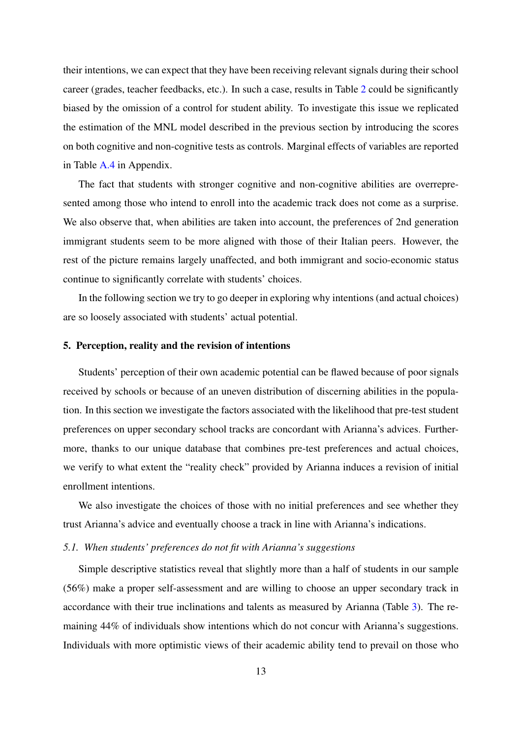their intentions, we can expect that they have been receiving relevant signals during their school career (grades, teacher feedbacks, etc.). In such a case, results in Table [2](#page-14-0) could be significantly biased by the omission of a control for student ability. To investigate this issue we replicated the estimation of the MNL model described in the previous section by introducing the scores on both cognitive and non-cognitive tests as controls. Marginal effects of variables are reported in Table [A.4](#page-37-0) in Appendix.

The fact that students with stronger cognitive and non-cognitive abilities are overrepresented among those who intend to enroll into the academic track does not come as a surprise. We also observe that, when abilities are taken into account, the preferences of 2nd generation immigrant students seem to be more aligned with those of their Italian peers. However, the rest of the picture remains largely unaffected, and both immigrant and socio-economic status continue to significantly correlate with students' choices.

In the following section we try to go deeper in exploring why intentions (and actual choices) are so loosely associated with students' actual potential.

#### <span id="page-15-0"></span>5. Perception, reality and the revision of intentions

Students' perception of their own academic potential can be flawed because of poor signals received by schools or because of an uneven distribution of discerning abilities in the population. In this section we investigate the factors associated with the likelihood that pre-test student preferences on upper secondary school tracks are concordant with Arianna's advices. Furthermore, thanks to our unique database that combines pre-test preferences and actual choices, we verify to what extent the "reality check" provided by Arianna induces a revision of initial enrollment intentions.

We also investigate the choices of those with no initial preferences and see whether they trust Arianna's advice and eventually choose a track in line with Arianna's indications.

#### *5.1. When students' preferences do not fit with Arianna's suggestions*

Simple descriptive statistics reveal that slightly more than a half of students in our sample (56%) make a proper self-assessment and are willing to choose an upper secondary track in accordance with their true inclinations and talents as measured by Arianna (Table [3\)](#page-16-0). The remaining 44% of individuals show intentions which do not concur with Arianna's suggestions. Individuals with more optimistic views of their academic ability tend to prevail on those who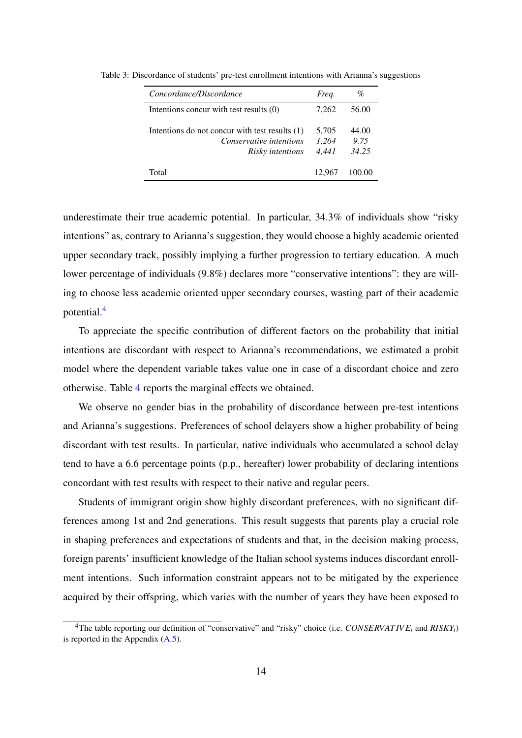<span id="page-16-0"></span>

| Concordance/Discordance                                                                              | Freq.                   | $\%$                   |
|------------------------------------------------------------------------------------------------------|-------------------------|------------------------|
| Intentions concur with test results (0)                                                              | 7.262                   | 56.00                  |
| Intentions do not concur with test results (1)<br>Conservative intentions<br><i>Risky intentions</i> | 5,705<br>1.264<br>4.441 | 44.00<br>9.75<br>34.25 |
| Total                                                                                                | 12.967                  | 100.00                 |

Table 3: Discordance of students' pre-test enrollment intentions with Arianna's suggestions

underestimate their true academic potential. In particular, 34.3% of individuals show "risky intentions" as, contrary to Arianna's suggestion, they would choose a highly academic oriented upper secondary track, possibly implying a further progression to tertiary education. A much lower percentage of individuals (9.8%) declares more "conservative intentions": they are willing to choose less academic oriented upper secondary courses, wasting part of their academic potential.[4](#page--1-0)

To appreciate the specific contribution of different factors on the probability that initial intentions are discordant with respect to Arianna's recommendations, we estimated a probit model where the dependent variable takes value one in case of a discordant choice and zero otherwise. Table [4](#page-17-0) reports the marginal effects we obtained.

We observe no gender bias in the probability of discordance between pre-test intentions and Arianna's suggestions. Preferences of school delayers show a higher probability of being discordant with test results. In particular, native individuals who accumulated a school delay tend to have a 6.6 percentage points (p.p., hereafter) lower probability of declaring intentions concordant with test results with respect to their native and regular peers.

Students of immigrant origin show highly discordant preferences, with no significant differences among 1st and 2nd generations. This result suggests that parents play a crucial role in shaping preferences and expectations of students and that, in the decision making process, foreign parents' insufficient knowledge of the Italian school systems induces discordant enrollment intentions. Such information constraint appears not to be mitigated by the experience acquired by their offspring, which varies with the number of years they have been exposed to

<sup>&</sup>lt;sup>4</sup>The table reporting our definition of "conservative" and "risky" choice (i.e. *CONSERVATIVE<sub>i</sub>* and *RISKY<sub>i</sub>*) is reported in the Appendix  $(A.5)$ .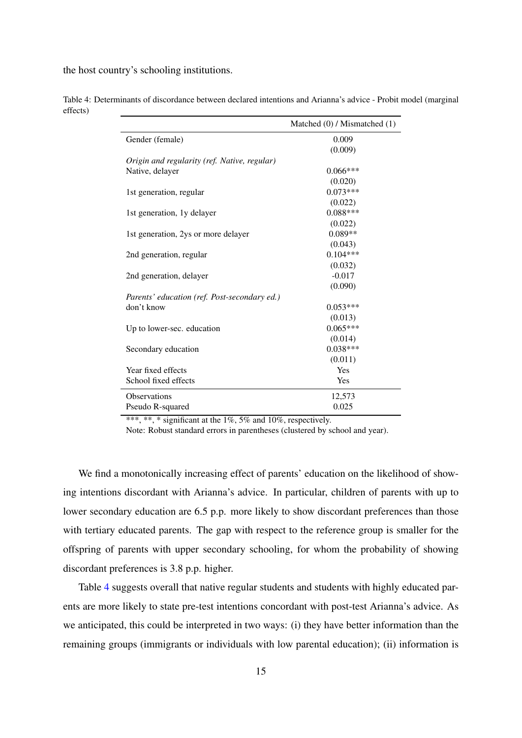the host country's schooling institutions.

|                                              | Matched (0) / Mismatched (1) |
|----------------------------------------------|------------------------------|
| Gender (female)                              | 0.009                        |
|                                              | (0.009)                      |
| Origin and regularity (ref. Native, regular) |                              |
| Native, delayer                              | $0.066***$                   |
|                                              | (0.020)                      |
| 1st generation, regular                      | $0.073***$                   |
|                                              | (0.022)                      |
| 1st generation, 1y delayer                   | $0.088***$                   |
|                                              | (0.022)                      |
| 1st generation, 2ys or more delayer          | $0.089**$                    |
|                                              | (0.043)                      |
| 2nd generation, regular                      | $0.104***$                   |
|                                              | (0.032)                      |
| 2nd generation, delayer                      | $-0.017$                     |
|                                              | (0.090)                      |
| Parents' education (ref. Post-secondary ed.) |                              |
| don't know                                   | $0.053***$                   |
|                                              | (0.013)                      |
| Up to lower-sec. education                   | $0.065***$                   |
|                                              | (0.014)                      |
| Secondary education                          | $0.038***$                   |
|                                              | (0.011)                      |
| Year fixed effects                           | Yes                          |
| School fixed effects                         | Yes                          |
| <b>Observations</b>                          | 12,573                       |
| Pseudo R-squared                             | 0.025                        |

<span id="page-17-0"></span>Table 4: Determinants of discordance between declared intentions and Arianna's advice - Probit model (marginal effects)

\*\*\*, \*\*, \* significant at the 1%, 5% and 10%, respectively.

Note: Robust standard errors in parentheses (clustered by school and year).

We find a monotonically increasing effect of parents' education on the likelihood of showing intentions discordant with Arianna's advice. In particular, children of parents with up to lower secondary education are 6.5 p.p. more likely to show discordant preferences than those with tertiary educated parents. The gap with respect to the reference group is smaller for the offspring of parents with upper secondary schooling, for whom the probability of showing discordant preferences is 3.8 p.p. higher.

Table [4](#page-17-0) suggests overall that native regular students and students with highly educated parents are more likely to state pre-test intentions concordant with post-test Arianna's advice. As we anticipated, this could be interpreted in two ways: (i) they have better information than the remaining groups (immigrants or individuals with low parental education); (ii) information is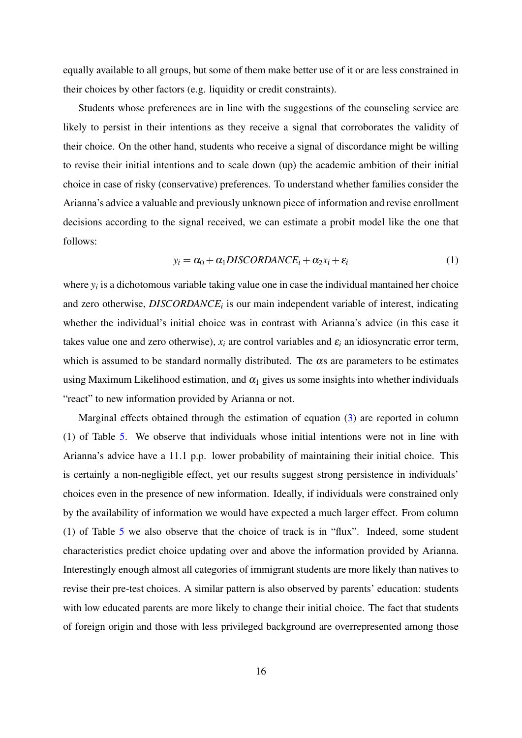equally available to all groups, but some of them make better use of it or are less constrained in their choices by other factors (e.g. liquidity or credit constraints).

Students whose preferences are in line with the suggestions of the counseling service are likely to persist in their intentions as they receive a signal that corroborates the validity of their choice. On the other hand, students who receive a signal of discordance might be willing to revise their initial intentions and to scale down (up) the academic ambition of their initial choice in case of risky (conservative) preferences. To understand whether families consider the Arianna's advice a valuable and previously unknown piece of information and revise enrollment decisions according to the signal received, we can estimate a probit model like the one that follows:

$$
y_i = \alpha_0 + \alpha_1 DISCORDANCE_i + \alpha_2 x_i + \varepsilon_i \tag{1}
$$

where  $y_i$  is a dichotomous variable taking value one in case the individual mantained her choice and zero otherwise, *DISCORDANCE<sup>i</sup>* is our main independent variable of interest, indicating whether the individual's initial choice was in contrast with Arianna's advice (in this case it takes value one and zero otherwise),  $x_i$  are control variables and  $\varepsilon_i$  an idiosyncratic error term, which is assumed to be standard normally distributed. The  $\alpha$ s are parameters to be estimates using Maximum Likelihood estimation, and  $\alpha_1$  gives us some insights into whether individuals "react" to new information provided by Arianna or not.

Marginal effects obtained through the estimation of equation [\(3\)](#page-24-0) are reported in column (1) of Table [5.](#page-20-0) We observe that individuals whose initial intentions were not in line with Arianna's advice have a 11.1 p.p. lower probability of maintaining their initial choice. This is certainly a non-negligible effect, yet our results suggest strong persistence in individuals' choices even in the presence of new information. Ideally, if individuals were constrained only by the availability of information we would have expected a much larger effect. From column (1) of Table [5](#page-20-0) we also observe that the choice of track is in "flux". Indeed, some student characteristics predict choice updating over and above the information provided by Arianna. Interestingly enough almost all categories of immigrant students are more likely than natives to revise their pre-test choices. A similar pattern is also observed by parents' education: students with low educated parents are more likely to change their initial choice. The fact that students of foreign origin and those with less privileged background are overrepresented among those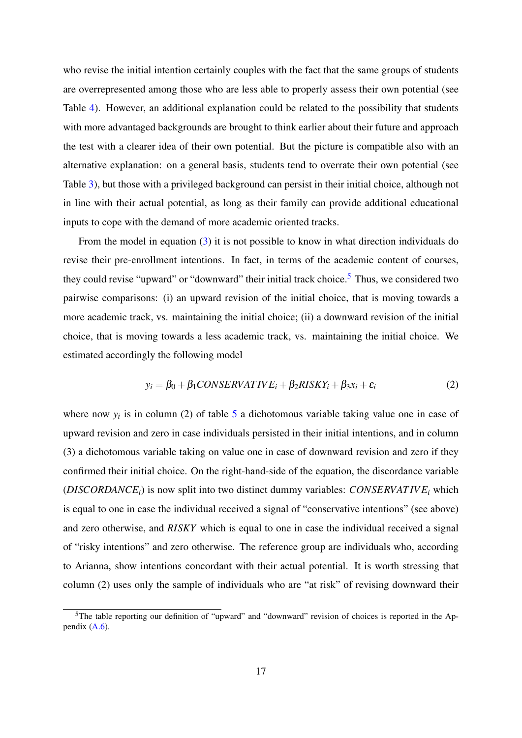who revise the initial intention certainly couples with the fact that the same groups of students are overrepresented among those who are less able to properly assess their own potential (see Table [4\)](#page-17-0). However, an additional explanation could be related to the possibility that students with more advantaged backgrounds are brought to think earlier about their future and approach the test with a clearer idea of their own potential. But the picture is compatible also with an alternative explanation: on a general basis, students tend to overrate their own potential (see Table [3\)](#page-16-0), but those with a privileged background can persist in their initial choice, although not in line with their actual potential, as long as their family can provide additional educational inputs to cope with the demand of more academic oriented tracks.

From the model in equation [\(3\)](#page-24-0) it is not possible to know in what direction individuals do revise their pre-enrollment intentions. In fact, in terms of the academic content of courses, they could revise "upward" or "downward" their initial track choice.<sup>[5](#page--1-0)</sup> Thus, we considered two pairwise comparisons: (i) an upward revision of the initial choice, that is moving towards a more academic track, vs. maintaining the initial choice; (ii) a downward revision of the initial choice, that is moving towards a less academic track, vs. maintaining the initial choice. We estimated accordingly the following model

$$
y_i = \beta_0 + \beta_1 CONSERVATIVE_i + \beta_2 RISKY_i + \beta_3 x_i + \varepsilon_i
$$
 (2)

where now  $y_i$  is in column (2) of table [5](#page-20-0) a dichotomous variable taking value one in case of upward revision and zero in case individuals persisted in their initial intentions, and in column (3) a dichotomous variable taking on value one in case of downward revision and zero if they confirmed their initial choice. On the right-hand-side of the equation, the discordance variable (*DISCORDANCEi*) is now split into two distinct dummy variables: *CONSERVAT IV E<sup>i</sup>* which is equal to one in case the individual received a signal of "conservative intentions" (see above) and zero otherwise, and *RISKY* which is equal to one in case the individual received a signal of "risky intentions" and zero otherwise. The reference group are individuals who, according to Arianna, show intentions concordant with their actual potential. It is worth stressing that column (2) uses only the sample of individuals who are "at risk" of revising downward their

<sup>&</sup>lt;sup>5</sup>The table reporting our definition of "upward" and "downward" revision of choices is reported in the Appendix  $(A.6)$ .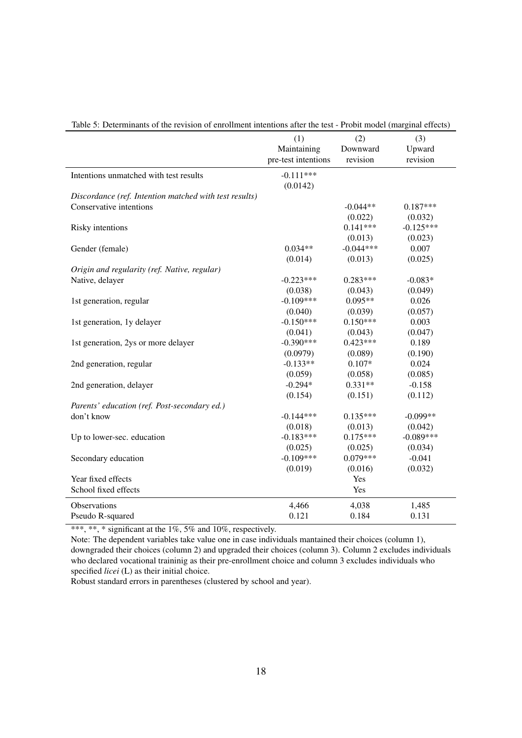|                                                        | (1)<br>Maintaining<br>pre-test intentions | (2)<br>Downward<br>revision | (3)<br>Upward<br>revision |
|--------------------------------------------------------|-------------------------------------------|-----------------------------|---------------------------|
|                                                        |                                           |                             |                           |
| Intentions unmatched with test results                 | $-0.111***$<br>(0.0142)                   |                             |                           |
| Discordance (ref. Intention matched with test results) |                                           |                             |                           |
| Conservative intentions                                |                                           | $-0.044**$                  | $0.187***$                |
|                                                        |                                           | (0.022)                     | (0.032)                   |
| Risky intentions                                       |                                           | $0.141***$                  | $-0.125***$               |
|                                                        |                                           | (0.013)                     | (0.023)                   |
| Gender (female)                                        | $0.034**$                                 | $-0.044***$                 | 0.007                     |
|                                                        | (0.014)                                   | (0.013)                     | (0.025)                   |
| Origin and regularity (ref. Native, regular)           |                                           |                             |                           |
| Native, delayer                                        | $-0.223***$                               | $0.283***$                  | $-0.083*$                 |
|                                                        | (0.038)                                   | (0.043)                     | (0.049)                   |
| 1st generation, regular                                | $-0.109***$                               | $0.095**$                   | 0.026                     |
|                                                        | (0.040)                                   | (0.039)                     | (0.057)                   |
| 1st generation, 1y delayer                             | $-0.150***$                               | $0.150***$                  | 0.003                     |
|                                                        | (0.041)                                   | (0.043)                     | (0.047)                   |
| 1st generation, 2ys or more delayer                    | $-0.390***$                               | $0.423***$                  | 0.189                     |
|                                                        | (0.0979)                                  | (0.089)                     | (0.190)                   |
| 2nd generation, regular                                | $-0.133**$                                | $0.107*$                    | 0.024                     |
|                                                        | (0.059)                                   | (0.058)                     | (0.085)                   |
| 2nd generation, delayer                                | $-0.294*$                                 | $0.331**$                   | $-0.158$                  |
|                                                        | (0.154)                                   | (0.151)                     | (0.112)                   |
| Parents' education (ref. Post-secondary ed.)           |                                           |                             |                           |
| don't know                                             | $-0.144***$                               | $0.135***$                  | $-0.099**$                |
|                                                        | (0.018)                                   | (0.013)                     | (0.042)                   |
| Up to lower-sec. education                             | $-0.183***$                               | $0.175***$                  | $-0.089***$               |
|                                                        | (0.025)                                   | (0.025)                     | (0.034)                   |
| Secondary education                                    | $-0.109***$                               | $0.079***$                  | $-0.041$                  |
|                                                        | (0.019)                                   | (0.016)                     | (0.032)                   |
| Year fixed effects                                     |                                           | Yes                         |                           |
| School fixed effects                                   |                                           | Yes                         |                           |
| Observations                                           | 4,466                                     | 4,038                       | 1,485                     |
| Pseudo R-squared                                       | 0.121                                     | 0.184                       | 0.131                     |

<span id="page-20-0"></span>

|  |  |  |  |  |  |  | Table 5: Determinants of the revision of enrollment intentions after the test - Probit model (marginal effects) |
|--|--|--|--|--|--|--|-----------------------------------------------------------------------------------------------------------------|
|--|--|--|--|--|--|--|-----------------------------------------------------------------------------------------------------------------|

\*\*\*, \*\*, \* significant at the  $1\%$ , 5% and  $10\%$ , respectively.

Note: The dependent variables take value one in case individuals mantained their choices (column 1), downgraded their choices (column 2) and upgraded their choices (column 3). Column 2 excludes individuals who declared vocational traininig as their pre-enrollment choice and column 3 excludes individuals who specified *licei* (L) as their initial choice.

Robust standard errors in parentheses (clustered by school and year).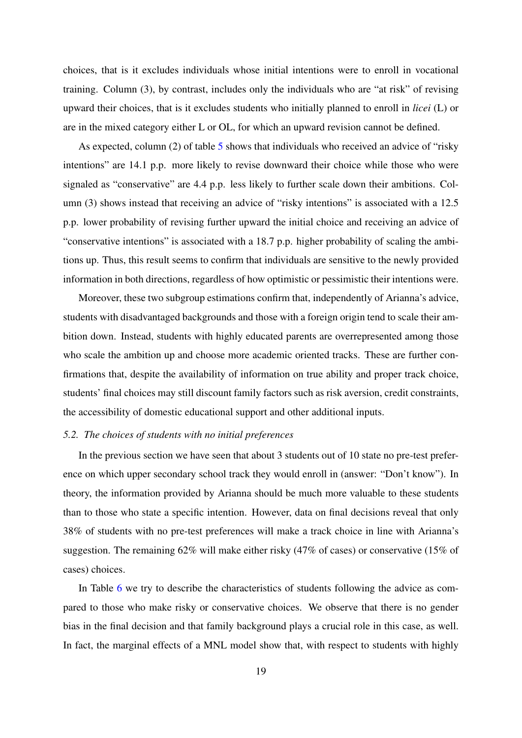choices, that is it excludes individuals whose initial intentions were to enroll in vocational training. Column (3), by contrast, includes only the individuals who are "at risk" of revising upward their choices, that is it excludes students who initially planned to enroll in *licei* (L) or are in the mixed category either L or OL, for which an upward revision cannot be defined.

As expected, column (2) of table [5](#page-20-0) shows that individuals who received an advice of "risky" intentions" are 14.1 p.p. more likely to revise downward their choice while those who were signaled as "conservative" are 4.4 p.p. less likely to further scale down their ambitions. Column (3) shows instead that receiving an advice of "risky intentions" is associated with a 12.5 p.p. lower probability of revising further upward the initial choice and receiving an advice of "conservative intentions" is associated with a 18.7 p.p. higher probability of scaling the ambitions up. Thus, this result seems to confirm that individuals are sensitive to the newly provided information in both directions, regardless of how optimistic or pessimistic their intentions were.

Moreover, these two subgroup estimations confirm that, independently of Arianna's advice, students with disadvantaged backgrounds and those with a foreign origin tend to scale their ambition down. Instead, students with highly educated parents are overrepresented among those who scale the ambition up and choose more academic oriented tracks. These are further confirmations that, despite the availability of information on true ability and proper track choice, students' final choices may still discount family factors such as risk aversion, credit constraints, the accessibility of domestic educational support and other additional inputs.

#### *5.2. The choices of students with no initial preferences*

In the previous section we have seen that about 3 students out of 10 state no pre-test preference on which upper secondary school track they would enroll in (answer: "Don't know"). In theory, the information provided by Arianna should be much more valuable to these students than to those who state a specific intention. However, data on final decisions reveal that only 38% of students with no pre-test preferences will make a track choice in line with Arianna's suggestion. The remaining 62% will make either risky (47% of cases) or conservative (15% of cases) choices.

In Table [6](#page-22-1) we try to describe the characteristics of students following the advice as compared to those who make risky or conservative choices. We observe that there is no gender bias in the final decision and that family background plays a crucial role in this case, as well. In fact, the marginal effects of a MNL model show that, with respect to students with highly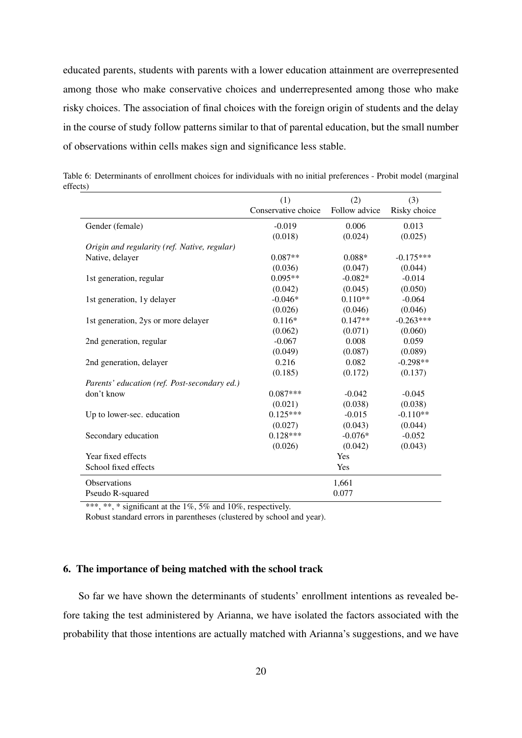educated parents, students with parents with a lower education attainment are overrepresented among those who make conservative choices and underrepresented among those who make risky choices. The association of final choices with the foreign origin of students and the delay in the course of study follow patterns similar to that of parental education, but the small number of observations within cells makes sign and significance less stable.

<span id="page-22-1"></span>

|                                              | (1)                 | (2)           | (3)          |
|----------------------------------------------|---------------------|---------------|--------------|
|                                              | Conservative choice | Follow advice | Risky choice |
| Gender (female)                              | $-0.019$            | 0.006         | 0.013        |
|                                              | (0.018)             | (0.024)       | (0.025)      |
| Origin and regularity (ref. Native, regular) |                     |               |              |
| Native, delayer                              | $0.087**$           | $0.088*$      | $-0.175***$  |
|                                              | (0.036)             | (0.047)       | (0.044)      |
| 1st generation, regular                      | $0.095**$           | $-0.082*$     | $-0.014$     |
|                                              | (0.042)             | (0.045)       | (0.050)      |
| 1st generation, 1y delayer                   | $-0.046*$           | $0.110**$     | $-0.064$     |
|                                              | (0.026)             | (0.046)       | (0.046)      |
| 1st generation, 2ys or more delayer          | $0.116*$            | $0.147**$     | $-0.263***$  |
|                                              | (0.062)             | (0.071)       | (0.060)      |
| 2nd generation, regular                      | $-0.067$            | 0.008         | 0.059        |
|                                              | (0.049)             | (0.087)       | (0.089)      |
| 2nd generation, delayer                      | 0.216               | 0.082         | $-0.298**$   |
|                                              | (0.185)             | (0.172)       | (0.137)      |
| Parents' education (ref. Post-secondary ed.) |                     |               |              |
| don't know                                   | $0.087***$          | $-0.042$      | $-0.045$     |
|                                              | (0.021)             | (0.038)       | (0.038)      |
| Up to lower-sec. education                   | $0.125***$          | $-0.015$      | $-0.110**$   |
|                                              | (0.027)             | (0.043)       | (0.044)      |
| Secondary education                          | $0.128***$          | $-0.076*$     | $-0.052$     |
|                                              | (0.026)             | (0.042)       | (0.043)      |
| Year fixed effects                           |                     | Yes           |              |
| School fixed effects                         |                     | Yes           |              |
| Observations                                 |                     | 1,661         |              |
| Pseudo R-squared                             |                     | 0.077         |              |

Table 6: Determinants of enrollment choices for individuals with no initial preferences - Probit model (marginal effects)

\*\*\*, \*\*, \* significant at the 1%, 5% and 10%, respectively.

Robust standard errors in parentheses (clustered by school and year).

#### <span id="page-22-0"></span>6. The importance of being matched with the school track

So far we have shown the determinants of students' enrollment intentions as revealed before taking the test administered by Arianna, we have isolated the factors associated with the probability that those intentions are actually matched with Arianna's suggestions, and we have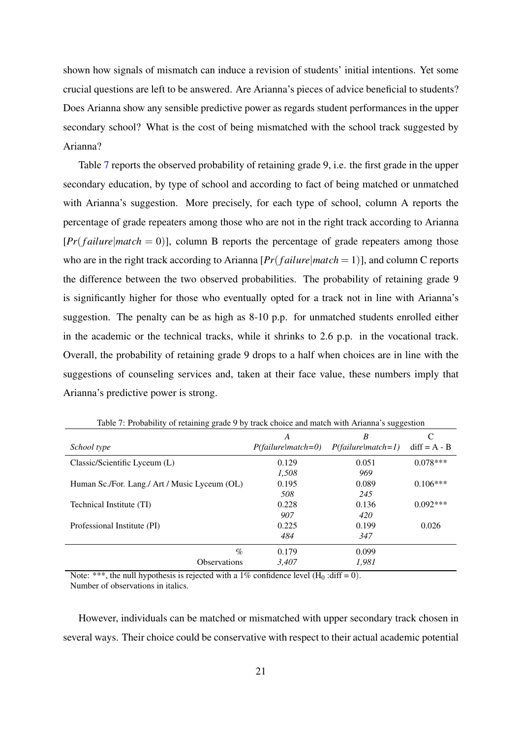shown how signals of mismatch can induce a revision of students' initial intentions. Yet some crucial questions are left to be answered. Are Arianna's pieces of advice beneficial to students? Does Arianna show any sensible predictive power as regards student performances in the upper secondary school? What is the cost of being mismatched with the school track suggested by Arianna?

Table [7](#page-23-0) reports the observed probability of retaining grade 9, i.e. the first grade in the upper secondary education, by type of school and according to fact of being matched or unmatched with Arianna's suggestion. More precisely, for each type of school, column A reports the percentage of grade repeaters among those who are not in the right track according to Arianna  $[Pr(failure|match = 0)]$ , column B reports the percentage of grade repeaters among those who are in the right track according to Arianna [*Pr*(*f ailure*|*match* = 1)], and column C reports the difference between the two observed probabilities. The probability of retaining grade 9 is significantly higher for those who eventually opted for a track not in line with Arianna's suggestion. The penalty can be as high as 8-10 p.p. for unmatched students enrolled either in the academic or the technical tracks, while it shrinks to 2.6 p.p. in the vocational track. Overall, the probability of retaining grade 9 drops to a half when choices are in line with the suggestions of counseling services and, taken at their face value, these numbers imply that Arianna's predictive power is strong.

|                                               | A                    | B                    | C              |
|-----------------------------------------------|----------------------|----------------------|----------------|
| School type                                   | $P(failure match=0)$ | $P(failure match=1)$ | $diff = A - B$ |
| Classic/Scientific Lyceum (L)                 | 0.129                | 0.051                | $0.078***$     |
|                                               | 1,508                | 969                  |                |
| Human Sc./For. Lang./ Art / Music Lyceum (OL) | 0.195                | 0.089                | $0.106***$     |
|                                               | 508                  | 245                  |                |
| Technical Institute (TI)                      | 0.228                | 0.136                | $0.092***$     |
|                                               | 907                  | 420                  |                |
| Professional Institute (PI)                   | 0.225                | 0.199                | 0.026          |
|                                               | 484                  | 347                  |                |
| $\%$                                          | 0.179                | 0.099                |                |
| <b>Observations</b>                           | 3.407                | 1.981                |                |

<span id="page-23-0"></span>Table 7: Probability of retaining grade 9 by track choice and match with Arianna's suggestion

Note: \*\*\*, the null hypothesis is rejected with a 1% confidence level  $(H_0 : diff = 0)$ . Number of observations in italics.

However, individuals can be matched or mismatched with upper secondary track chosen in several ways. Their choice could be conservative with respect to their actual academic potential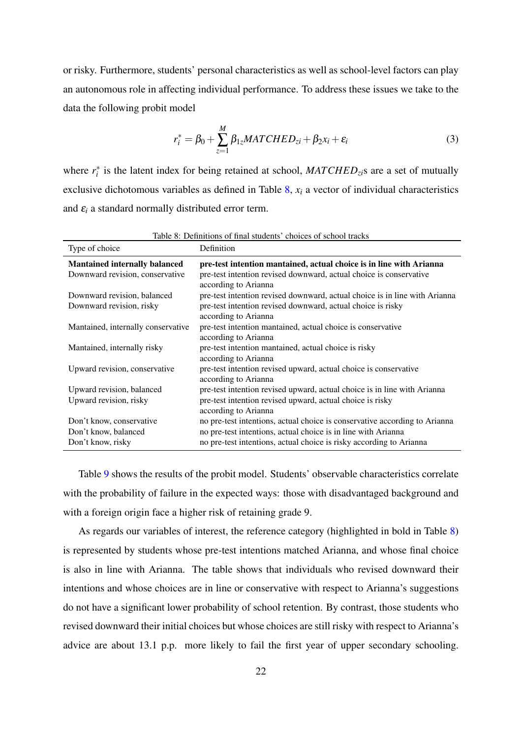or risky. Furthermore, students' personal characteristics as well as school-level factors can play an autonomous role in affecting individual performance. To address these issues we take to the data the following probit model

<span id="page-24-1"></span><span id="page-24-0"></span>
$$
r_i^* = \beta_0 + \sum_{z=1}^{M} \beta_{1z} MATCHED_{zi} + \beta_2 x_i + \varepsilon_i
$$
\n(3)

where  $r_i^*$  is the latent index for being retained at school,  $MATCHED_{zi}s$  are a set of mutually exclusive dichotomous variables as defined in Table [8,](#page-24-1) *x<sup>i</sup>* a vector of individual characteristics and  $\varepsilon_i$  a standard normally distributed error term.

|                                      | Table 8: Definitions of final students' choices of school tracks                           |
|--------------------------------------|--------------------------------------------------------------------------------------------|
| Type of choice                       | Definition                                                                                 |
| <b>Mantained internally balanced</b> | pre-test intention mantained, actual choice is in line with Arianna                        |
| Downward revision, conservative      | pre-test intention revised downward, actual choice is conservative<br>according to Arianna |
| Downward revision, balanced          | pre-test intention revised downward, actual choice is in line with Arianna                 |
| Downward revision, risky             | pre-test intention revised downward, actual choice is risky                                |
|                                      | according to Arianna                                                                       |
| Mantained, internally conservative   | pre-test intention mantained, actual choice is conservative                                |
|                                      | according to Arianna                                                                       |
| Mantained, internally risky          | pre-test intention mantained, actual choice is risky                                       |
|                                      | according to Arianna                                                                       |
| Upward revision, conservative        | pre-test intention revised upward, actual choice is conservative                           |
|                                      | according to Arianna                                                                       |
| Upward revision, balanced            | pre-test intention revised upward, actual choice is in line with Arianna                   |
| Upward revision, risky               | pre-test intention revised upward, actual choice is risky                                  |
|                                      | according to Arianna                                                                       |
| Don't know, conservative             | no pre-test intentions, actual choice is conservative according to Arianna                 |
| Don't know, balanced                 | no pre-test intentions, actual choice is in line with Arianna                              |
| Don't know, risky                    | no pre-test intentions, actual choice is risky according to Arianna                        |

Table [9](#page-26-0) shows the results of the probit model. Students' observable characteristics correlate with the probability of failure in the expected ways: those with disadvantaged background and with a foreign origin face a higher risk of retaining grade 9.

As regards our variables of interest, the reference category (highlighted in bold in Table [8\)](#page-24-1) is represented by students whose pre-test intentions matched Arianna, and whose final choice is also in line with Arianna. The table shows that individuals who revised downward their intentions and whose choices are in line or conservative with respect to Arianna's suggestions do not have a significant lower probability of school retention. By contrast, those students who revised downward their initial choices but whose choices are still risky with respect to Arianna's advice are about 13.1 p.p. more likely to fail the first year of upper secondary schooling.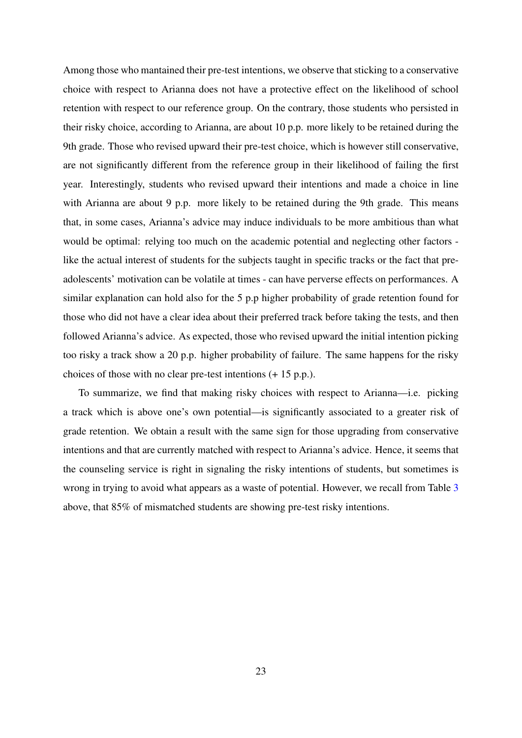Among those who mantained their pre-test intentions, we observe that sticking to a conservative choice with respect to Arianna does not have a protective effect on the likelihood of school retention with respect to our reference group. On the contrary, those students who persisted in their risky choice, according to Arianna, are about 10 p.p. more likely to be retained during the 9th grade. Those who revised upward their pre-test choice, which is however still conservative, are not significantly different from the reference group in their likelihood of failing the first year. Interestingly, students who revised upward their intentions and made a choice in line with Arianna are about 9 p.p. more likely to be retained during the 9th grade. This means that, in some cases, Arianna's advice may induce individuals to be more ambitious than what would be optimal: relying too much on the academic potential and neglecting other factors like the actual interest of students for the subjects taught in specific tracks or the fact that preadolescents' motivation can be volatile at times - can have perverse effects on performances. A similar explanation can hold also for the 5 p.p higher probability of grade retention found for those who did not have a clear idea about their preferred track before taking the tests, and then followed Arianna's advice. As expected, those who revised upward the initial intention picking too risky a track show a 20 p.p. higher probability of failure. The same happens for the risky choices of those with no clear pre-test intentions (+ 15 p.p.).

To summarize, we find that making risky choices with respect to Arianna—i.e. picking a track which is above one's own potential—is significantly associated to a greater risk of grade retention. We obtain a result with the same sign for those upgrading from conservative intentions and that are currently matched with respect to Arianna's advice. Hence, it seems that the counseling service is right in signaling the risky intentions of students, but sometimes is wrong in trying to avoid what appears as a waste of potential. However, we recall from Table [3](#page-16-0) above, that 85% of mismatched students are showing pre-test risky intentions.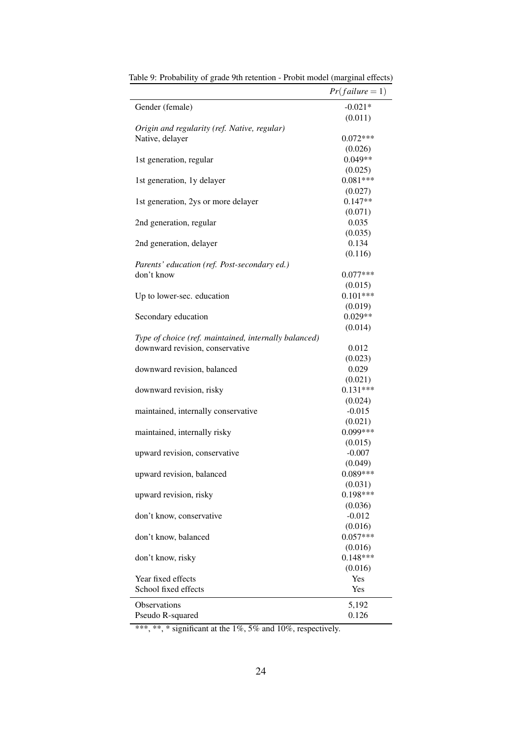|                                                       | $Pr(failure = 1)$     |
|-------------------------------------------------------|-----------------------|
| Gender (female)                                       | $-0.021*$             |
|                                                       | (0.011)               |
| Origin and regularity (ref. Native, regular)          |                       |
| Native, delayer                                       | $0.072***$            |
|                                                       | (0.026)               |
| 1st generation, regular                               | $0.049**$             |
|                                                       | (0.025)               |
| 1st generation, 1y delayer                            | $0.081***$            |
|                                                       | (0.027)               |
| 1st generation, 2ys or more delayer                   | $0.147**$             |
|                                                       | (0.071)               |
| 2nd generation, regular                               | 0.035                 |
|                                                       | (0.035)               |
| 2nd generation, delayer                               | 0.134                 |
|                                                       | (0.116)               |
| Parents' education (ref. Post-secondary ed.)          |                       |
| don't know                                            | $0.077***$            |
|                                                       | (0.015)               |
| Up to lower-sec. education                            | $0.101***$            |
|                                                       | (0.019)               |
| Secondary education                                   | $0.029**$             |
|                                                       | (0.014)               |
| Type of choice (ref. maintained, internally balanced) |                       |
| downward revision, conservative                       | 0.012                 |
|                                                       | (0.023)               |
| downward revision, balanced                           | 0.029                 |
|                                                       | (0.021)<br>$0.131***$ |
| downward revision, risky                              |                       |
|                                                       | (0.024)<br>$-0.015$   |
| maintained, internally conservative                   | (0.021)               |
| maintained, internally risky                          | $0.099***$            |
|                                                       | (0.015)               |
| upward revision, conservative                         | $-0.007$              |
|                                                       | (0.049)               |
| upward revision, balanced                             | $0.089***$            |
|                                                       | (0.031)               |
| upward revision, risky                                | $0.198***$            |
|                                                       | (0.036)               |
| don't know, conservative                              | $-0.012$              |
|                                                       | (0.016)               |
| don't know, balanced                                  | $0.057***$            |
|                                                       | (0.016)               |
| don't know, risky                                     | $0.148***$            |
|                                                       | (0.016)               |
| Year fixed effects                                    | Yes                   |
| School fixed effects                                  | Yes                   |
| <b>Observations</b>                                   |                       |
|                                                       | 5,192<br>0.126        |
| Pseudo R-squared                                      |                       |

<span id="page-26-0"></span>Table 9: Probability of grade 9th retention - Probit model (marginal effects)

\*\*\*, \*\*, \* significant at the 1%, 5% and 10%, respectively.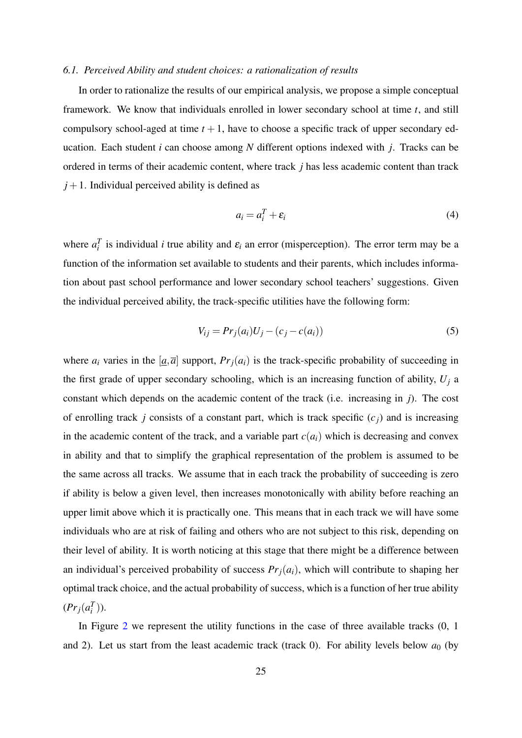#### *6.1. Perceived Ability and student choices: a rationalization of results*

In order to rationalize the results of our empirical analysis, we propose a simple conceptual framework. We know that individuals enrolled in lower secondary school at time *t*, and still compulsory school-aged at time  $t + 1$ , have to choose a specific track of upper secondary education. Each student *i* can choose among *N* different options indexed with *j*. Tracks can be ordered in terms of their academic content, where track *j* has less academic content than track  $j+1$ . Individual perceived ability is defined as

$$
a_i = a_i^T + \varepsilon_i \tag{4}
$$

where  $a_i^T$  is individual *i* true ability and  $\varepsilon_i$  an error (misperception). The error term may be a function of the information set available to students and their parents, which includes information about past school performance and lower secondary school teachers' suggestions. Given the individual perceived ability, the track-specific utilities have the following form:

$$
V_{ij} = Pr_j(a_i)U_j - (c_j - c(a_i))
$$
\n(5)

where  $a_i$  varies in the  $[a, \overline{a}]$  support,  $Pr_i(a_i)$  is the track-specific probability of succeeding in the first grade of upper secondary schooling, which is an increasing function of ability,  $U_i$  a constant which depends on the academic content of the track (i.e. increasing in *j*). The cost of enrolling track *j* consists of a constant part, which is track specific  $(c_i)$  and is increasing in the academic content of the track, and a variable part  $c(a_i)$  which is decreasing and convex in ability and that to simplify the graphical representation of the problem is assumed to be the same across all tracks. We assume that in each track the probability of succeeding is zero if ability is below a given level, then increases monotonically with ability before reaching an upper limit above which it is practically one. This means that in each track we will have some individuals who are at risk of failing and others who are not subject to this risk, depending on their level of ability. It is worth noticing at this stage that there might be a difference between an individual's perceived probability of success  $Pr<sub>j</sub>(a<sub>i</sub>)$ , which will contribute to shaping her optimal track choice, and the actual probability of success, which is a function of her true ability  $(Pr_j(a_i^T))$ .

In Figure [2](#page-28-0) we represent the utility functions in the case of three available tracks (0, 1 and 2). Let us start from the least academic track (track 0). For ability levels below  $a_0$  (by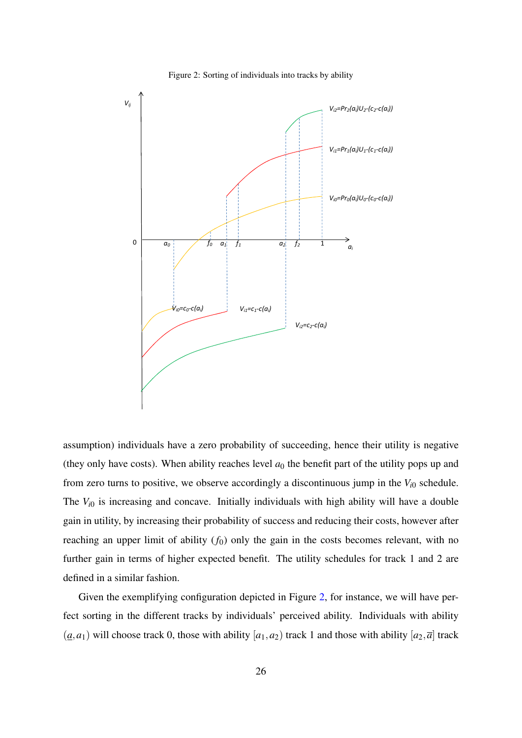

<span id="page-28-0"></span>Figure 2: Sorting of individuals into tracks by ability

assumption) individuals have a zero probability of succeeding, hence their utility is negative (they only have costs). When ability reaches level  $a_0$  the benefit part of the utility pops up and from zero turns to positive, we observe accordingly a discontinuous jump in the  $V_{i0}$  schedule. The  $V_{i0}$  is increasing and concave. Initially individuals with high ability will have a double gain in utility, by increasing their probability of success and reducing their costs, however after reaching an upper limit of ability  $(f_0)$  only the gain in the costs becomes relevant, with no further gain in terms of higher expected benefit. The utility schedules for track 1 and 2 are defined in a similar fashion.

Given the exemplifying configuration depicted in Figure [2,](#page-28-0) for instance, we will have perfect sorting in the different tracks by individuals' perceived ability. Individuals with ability  $(a, a_1)$  will choose track 0, those with ability  $[a_1, a_2)$  track 1 and those with ability  $[a_2, \overline{a}]$  track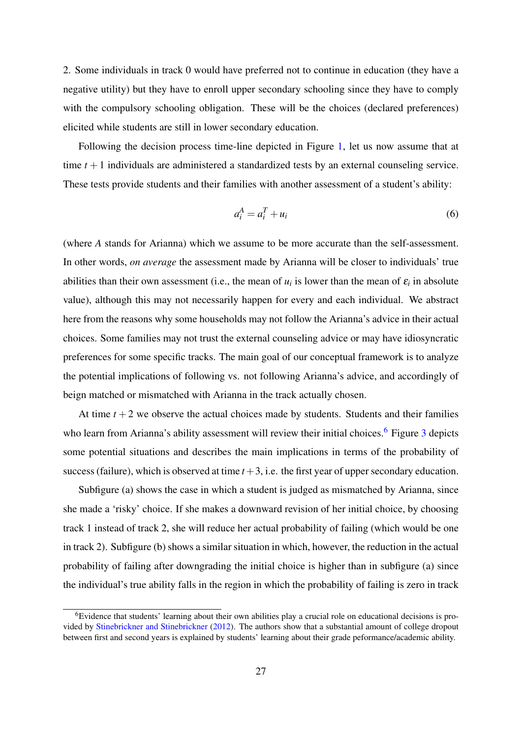2. Some individuals in track 0 would have preferred not to continue in education (they have a negative utility) but they have to enroll upper secondary schooling since they have to comply with the compulsory schooling obligation. These will be the choices (declared preferences) elicited while students are still in lower secondary education.

Following the decision process time-line depicted in Figure [1,](#page-9-1) let us now assume that at time  $t + 1$  individuals are administered a standardized tests by an external counseling service. These tests provide students and their families with another assessment of a student's ability:

$$
a_i^A = a_i^T + u_i \tag{6}
$$

(where *A* stands for Arianna) which we assume to be more accurate than the self-assessment. In other words, *on average* the assessment made by Arianna will be closer to individuals' true abilities than their own assessment (i.e., the mean of  $u_i$  is lower than the mean of  $\varepsilon_i$  in absolute value), although this may not necessarily happen for every and each individual. We abstract here from the reasons why some households may not follow the Arianna's advice in their actual choices. Some families may not trust the external counseling advice or may have idiosyncratic preferences for some specific tracks. The main goal of our conceptual framework is to analyze the potential implications of following vs. not following Arianna's advice, and accordingly of beign matched or mismatched with Arianna in the track actually chosen.

At time  $t + 2$  we observe the actual choices made by students. Students and their families who learn from Arianna's ability assessment will review their initial choices.<sup>[6](#page--1-0)</sup> Figure [3](#page-30-0) depicts some potential situations and describes the main implications in terms of the probability of success (failure), which is observed at time  $t + 3$ , i.e. the first year of upper secondary education.

Subfigure (a) shows the case in which a student is judged as mismatched by Arianna, since she made a 'risky' choice. If she makes a downward revision of her initial choice, by choosing track 1 instead of track 2, she will reduce her actual probability of failing (which would be one in track 2). Subfigure (b) shows a similar situation in which, however, the reduction in the actual probability of failing after downgrading the initial choice is higher than in subfigure (a) since the individual's true ability falls in the region in which the probability of failing is zero in track

<sup>6</sup>Evidence that students' learning about their own abilities play a crucial role on educational decisions is provided by [Stinebrickner and Stinebrickner](#page-33-11) [\(2012\)](#page-33-11). The authors show that a substantial amount of college dropout between first and second years is explained by students' learning about their grade peformance/academic ability.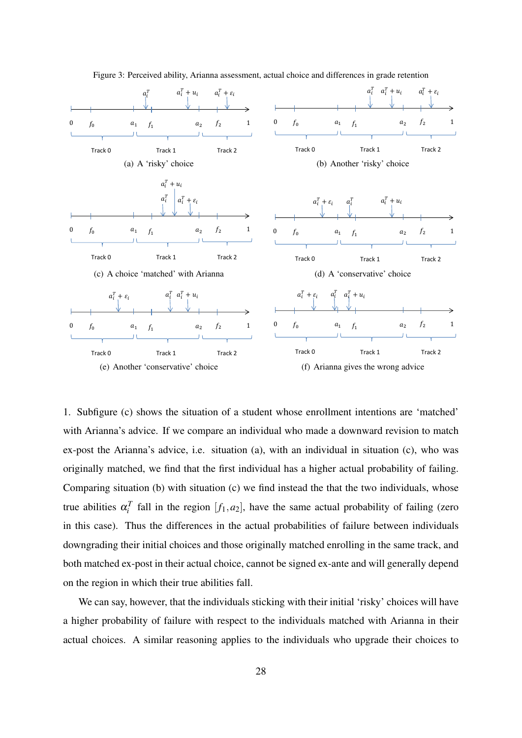

<span id="page-30-0"></span>Figure 3: Perceived ability, Arianna assessment, actual choice and differences in grade retention

1. Subfigure (c) shows the situation of a student whose enrollment intentions are 'matched' with Arianna's advice. If we compare an individual who made a downward revision to match ex-post the Arianna's advice, i.e. situation (a), with an individual in situation (c), who was originally matched, we find that the first individual has a higher actual probability of failing. Comparing situation (b) with situation (c) we find instead the that the two individuals, whose true abilities  $\alpha_i^T$  fall in the region  $[f_1, a_2]$ , have the same actual probability of failing (zero in this case). Thus the differences in the actual probabilities of failure between individuals downgrading their initial choices and those originally matched enrolling in the same track, and both matched ex-post in their actual choice, cannot be signed ex-ante and will generally depend on the region in which their true abilities fall.

We can say, however, that the individuals sticking with their initial 'risky' choices will have a higher probability of failure with respect to the individuals matched with Arianna in their actual choices. A similar reasoning applies to the individuals who upgrade their choices to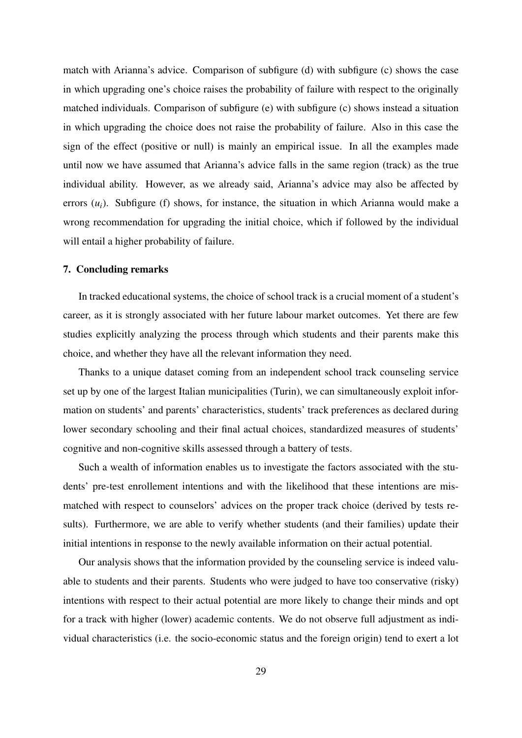match with Arianna's advice. Comparison of subfigure (d) with subfigure (c) shows the case in which upgrading one's choice raises the probability of failure with respect to the originally matched individuals. Comparison of subfigure (e) with subfigure (c) shows instead a situation in which upgrading the choice does not raise the probability of failure. Also in this case the sign of the effect (positive or null) is mainly an empirical issue. In all the examples made until now we have assumed that Arianna's advice falls in the same region (track) as the true individual ability. However, as we already said, Arianna's advice may also be affected by errors  $(u_i)$ . Subfigure (f) shows, for instance, the situation in which Arianna would make a wrong recommendation for upgrading the initial choice, which if followed by the individual will entail a higher probability of failure.

#### 7. Concluding remarks

In tracked educational systems, the choice of school track is a crucial moment of a student's career, as it is strongly associated with her future labour market outcomes. Yet there are few studies explicitly analyzing the process through which students and their parents make this choice, and whether they have all the relevant information they need.

Thanks to a unique dataset coming from an independent school track counseling service set up by one of the largest Italian municipalities (Turin), we can simultaneously exploit information on students' and parents' characteristics, students' track preferences as declared during lower secondary schooling and their final actual choices, standardized measures of students' cognitive and non-cognitive skills assessed through a battery of tests.

Such a wealth of information enables us to investigate the factors associated with the students' pre-test enrollement intentions and with the likelihood that these intentions are mismatched with respect to counselors' advices on the proper track choice (derived by tests results). Furthermore, we are able to verify whether students (and their families) update their initial intentions in response to the newly available information on their actual potential.

Our analysis shows that the information provided by the counseling service is indeed valuable to students and their parents. Students who were judged to have too conservative (risky) intentions with respect to their actual potential are more likely to change their minds and opt for a track with higher (lower) academic contents. We do not observe full adjustment as individual characteristics (i.e. the socio-economic status and the foreign origin) tend to exert a lot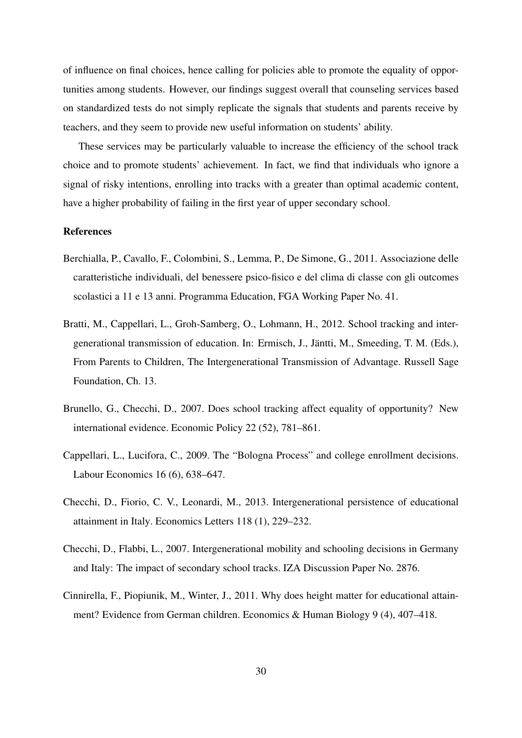of influence on final choices, hence calling for policies able to promote the equality of opportunities among students. However, our findings suggest overall that counseling services based on standardized tests do not simply replicate the signals that students and parents receive by teachers, and they seem to provide new useful information on students' ability.

These services may be particularly valuable to increase the efficiency of the school track choice and to promote students' achievement. In fact, we find that individuals who ignore a signal of risky intentions, enrolling into tracks with a greater than optimal academic content, have a higher probability of failing in the first year of upper secondary school.

#### References

- <span id="page-32-6"></span>Berchialla, P., Cavallo, F., Colombini, S., Lemma, P., De Simone, G., 2011. Associazione delle caratteristiche individuali, del benessere psico-fisico e del clima di classe con gli outcomes scolastici a 11 e 13 anni. Programma Education, FGA Working Paper No. 41.
- <span id="page-32-2"></span>Bratti, M., Cappellari, L., Groh-Samberg, O., Lohmann, H., 2012. School tracking and intergenerational transmission of education. In: Ermisch, J., Jäntti, M., Smeeding, T. M. (Eds.), From Parents to Children, The Intergenerational Transmission of Advantage. Russell Sage Foundation, Ch. 13.
- <span id="page-32-0"></span>Brunello, G., Checchi, D., 2007. Does school tracking affect equality of opportunity? New international evidence. Economic Policy 22 (52), 781–861.
- <span id="page-32-1"></span>Cappellari, L., Lucifora, C., 2009. The "Bologna Process" and college enrollment decisions. Labour Economics 16 (6), 638–647.
- <span id="page-32-5"></span>Checchi, D., Fiorio, C. V., Leonardi, M., 2013. Intergenerational persistence of educational attainment in Italy. Economics Letters 118 (1), 229–232.
- <span id="page-32-3"></span>Checchi, D., Flabbi, L., 2007. Intergenerational mobility and schooling decisions in Germany and Italy: The impact of secondary school tracks. IZA Discussion Paper No. 2876.
- <span id="page-32-4"></span>Cinnirella, F., Piopiunik, M., Winter, J., 2011. Why does height matter for educational attainment? Evidence from German children. Economics & Human Biology 9 (4), 407–418.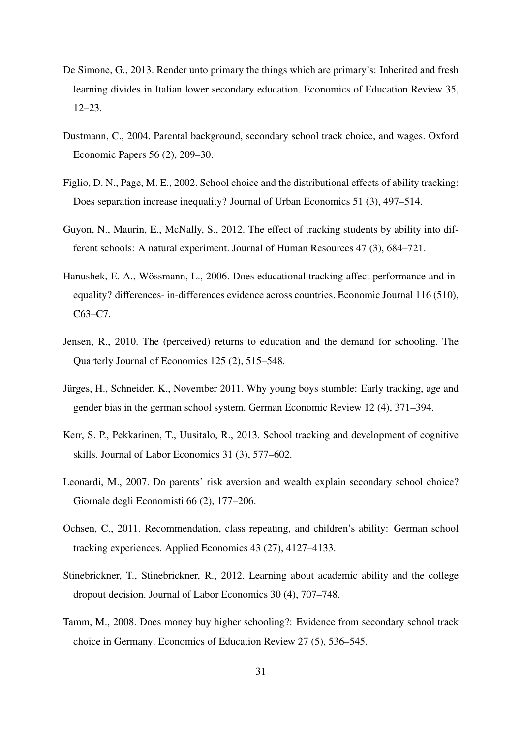- <span id="page-33-9"></span>De Simone, G., 2013. Render unto primary the things which are primary's: Inherited and fresh learning divides in Italian lower secondary education. Economics of Education Review 35, 12–23.
- <span id="page-33-0"></span>Dustmann, C., 2004. Parental background, secondary school track choice, and wages. Oxford Economic Papers 56 (2), 209–30.
- <span id="page-33-1"></span>Figlio, D. N., Page, M. E., 2002. School choice and the distributional effects of ability tracking: Does separation increase inequality? Journal of Urban Economics 51 (3), 497–514.
- <span id="page-33-6"></span>Guyon, N., Maurin, E., McNally, S., 2012. The effect of tracking students by ability into different schools: A natural experiment. Journal of Human Resources 47 (3), 684–721.
- <span id="page-33-8"></span>Hanushek, E. A., Wössmann, L., 2006. Does educational tracking affect performance and inequality? differences- in-differences evidence across countries. Economic Journal 116 (510), C63–C7.
- <span id="page-33-10"></span>Jensen, R., 2010. The (perceived) returns to education and the demand for schooling. The Quarterly Journal of Economics 125 (2), 515–548.
- <span id="page-33-5"></span>Jürges, H., Schneider, K., November 2011. Why young boys stumble: Early tracking, age and gender bias in the german school system. German Economic Review 12 (4), 371–394.
- <span id="page-33-7"></span>Kerr, S. P., Pekkarinen, T., Uusitalo, R., 2013. School tracking and development of cognitive skills. Journal of Labor Economics 31 (3), 577–602.
- <span id="page-33-2"></span>Leonardi, M., 2007. Do parents' risk aversion and wealth explain secondary school choice? Giornale degli Economisti 66 (2), 177–206.
- <span id="page-33-4"></span>Ochsen, C., 2011. Recommendation, class repeating, and children's ability: German school tracking experiences. Applied Economics 43 (27), 4127–4133.
- <span id="page-33-11"></span>Stinebrickner, T., Stinebrickner, R., 2012. Learning about academic ability and the college dropout decision. Journal of Labor Economics 30 (4), 707–748.
- <span id="page-33-3"></span>Tamm, M., 2008. Does money buy higher schooling?: Evidence from secondary school track choice in Germany. Economics of Education Review 27 (5), 536–545.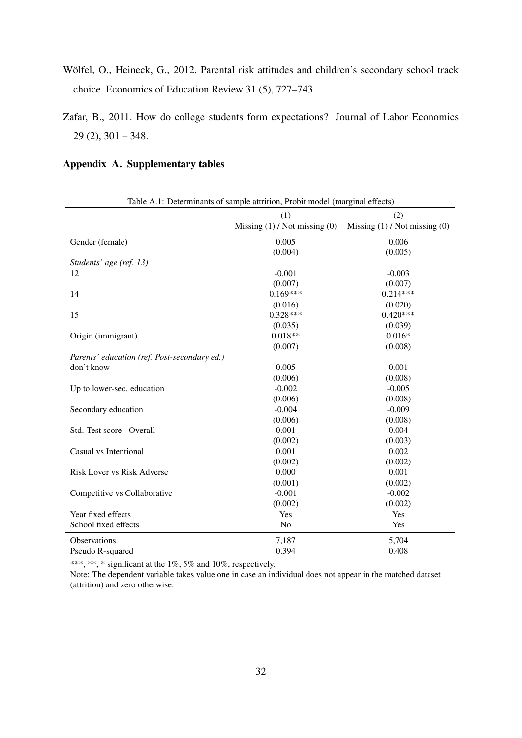- <span id="page-34-0"></span>Wölfel, O., Heineck, G., 2012. Parental risk attitudes and children's secondary school track choice. Economics of Education Review 31 (5), 727–743.
- <span id="page-34-1"></span>Zafar, B., 2011. How do college students form expectations? Journal of Labor Economics 29 (2), 301 – 348.

#### Appendix A. Supplementary tables

<span id="page-34-2"></span>

| Table A.1: Determinants of sample attrition, Probit model (marginal effects) |                                   |                                   |  |  |
|------------------------------------------------------------------------------|-----------------------------------|-----------------------------------|--|--|
|                                                                              | (1)                               | (2)                               |  |  |
|                                                                              | Missing $(1)$ / Not missing $(0)$ | Missing $(1)$ / Not missing $(0)$ |  |  |
| Gender (female)                                                              | 0.005                             | 0.006                             |  |  |
|                                                                              | (0.004)                           | (0.005)                           |  |  |
| Students' age (ref. 13)                                                      |                                   |                                   |  |  |
| 12                                                                           | $-0.001$                          | $-0.003$                          |  |  |
|                                                                              | (0.007)                           | (0.007)                           |  |  |
| 14                                                                           | $0.169***$                        | $0.214***$                        |  |  |
|                                                                              | (0.016)                           | (0.020)                           |  |  |
| 15                                                                           | $0.328***$                        | $0.420***$                        |  |  |
|                                                                              | (0.035)                           | (0.039)                           |  |  |
| Origin (immigrant)                                                           | $0.018**$                         | $0.016*$                          |  |  |
|                                                                              | (0.007)                           | (0.008)                           |  |  |
| Parents' education (ref. Post-secondary ed.)                                 |                                   |                                   |  |  |
| don't know                                                                   | 0.005                             | 0.001                             |  |  |
|                                                                              | (0.006)                           | (0.008)                           |  |  |
| Up to lower-sec. education                                                   | $-0.002$                          | $-0.005$                          |  |  |
|                                                                              | (0.006)                           | (0.008)                           |  |  |
| Secondary education                                                          | $-0.004$                          | $-0.009$                          |  |  |
|                                                                              | (0.006)                           | (0.008)                           |  |  |
| Std. Test score - Overall                                                    | 0.001                             | 0.004                             |  |  |
|                                                                              | (0.002)                           | (0.003)                           |  |  |
| Casual vs Intentional                                                        | 0.001                             | 0.002                             |  |  |
|                                                                              | (0.002)                           | (0.002)                           |  |  |
| <b>Risk Lover vs Risk Adverse</b>                                            | 0.000                             | 0.001                             |  |  |
|                                                                              | (0.001)                           | (0.002)                           |  |  |
| Competitive vs Collaborative                                                 | $-0.001$                          | $-0.002$                          |  |  |
|                                                                              | (0.002)                           | (0.002)                           |  |  |
| Year fixed effects                                                           | Yes                               | Yes                               |  |  |
| School fixed effects                                                         | N <sub>o</sub>                    | Yes                               |  |  |
| Observations                                                                 | 7,187                             | 5,704                             |  |  |
| Pseudo R-squared                                                             | 0.394                             | 0.408                             |  |  |

\*\*\*, \*\*, \* significant at the  $1\%$ , 5% and 10%, respectively.

Note: The dependent variable takes value one in case an individual does not appear in the matched dataset (attrition) and zero otherwise.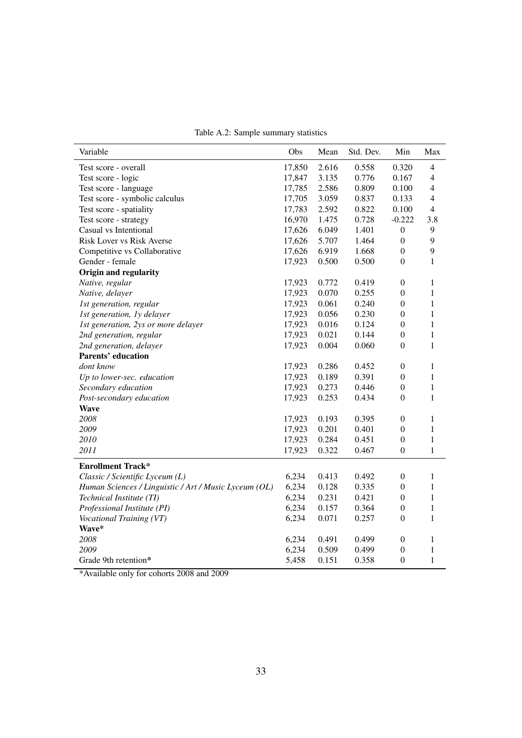<span id="page-35-0"></span>

|  |  | Table A.2: Sample summary statistics |  |  |
|--|--|--------------------------------------|--|--|
|--|--|--------------------------------------|--|--|

| Variable                                              | Obs    | Mean  | Std. Dev. | Min              | Max            |
|-------------------------------------------------------|--------|-------|-----------|------------------|----------------|
| Test score - overall                                  | 17,850 | 2.616 | 0.558     | 0.320            | $\overline{4}$ |
| Test score - logic                                    | 17,847 | 3.135 | 0.776     | 0.167            | 4              |
| Test score - language                                 | 17,785 | 2.586 | 0.809     | 0.100            | $\overline{4}$ |
| Test score - symbolic calculus                        | 17,705 | 3.059 | 0.837     | 0.133            | $\overline{4}$ |
| Test score - spatiality                               | 17,783 | 2.592 | 0.822     | 0.100            | 4              |
| Test score - strategy                                 | 16,970 | 1.475 | 0.728     | $-0.222$         | 3.8            |
| Casual vs Intentional                                 | 17,626 | 6.049 | 1.401     | $\boldsymbol{0}$ | 9              |
| Risk Lover vs Risk Averse                             | 17,626 | 5.707 | 1.464     | $\boldsymbol{0}$ | 9              |
| Competitive vs Collaborative                          | 17,626 | 6.919 | 1.668     | $\boldsymbol{0}$ | 9              |
| Gender - female                                       | 17,923 | 0.500 | 0.500     | $\overline{0}$   | 1              |
| Origin and regularity                                 |        |       |           |                  |                |
| Native, regular                                       | 17,923 | 0.772 | 0.419     | $\boldsymbol{0}$ | 1              |
| Native, delayer                                       | 17,923 | 0.070 | 0.255     | $\boldsymbol{0}$ | 1              |
| 1st generation, regular                               | 17,923 | 0.061 | 0.240     | $\overline{0}$   | $\mathbf{1}$   |
| 1st generation, 1y delayer                            | 17,923 | 0.056 | 0.230     | $\boldsymbol{0}$ | 1              |
| 1st generation, 2ys or more delayer                   | 17,923 | 0.016 | 0.124     | $\boldsymbol{0}$ | 1              |
| 2nd generation, regular                               | 17,923 | 0.021 | 0.144     | $\boldsymbol{0}$ | 1              |
| 2nd generation, delayer                               | 17,923 | 0.004 | 0.060     | $\boldsymbol{0}$ | $\mathbf{1}$   |
| <b>Parents' education</b>                             |        |       |           |                  |                |
| dont know                                             | 17,923 | 0.286 | 0.452     | $\theta$         | 1              |
| Up to lower-sec. education                            | 17,923 | 0.189 | 0.391     | $\boldsymbol{0}$ | 1              |
| Secondary education                                   | 17,923 | 0.273 | 0.446     | $\boldsymbol{0}$ | 1              |
| Post-secondary education                              | 17,923 | 0.253 | 0.434     | $\mathbf{0}$     | 1              |
| <b>Wave</b>                                           |        |       |           |                  |                |
| 2008                                                  | 17,923 | 0.193 | 0.395     | $\boldsymbol{0}$ | $\mathbf{1}$   |
| 2009                                                  | 17,923 | 0.201 | 0.401     | $\mathbf{0}$     | 1              |
| 2010                                                  | 17,923 | 0.284 | 0.451     | $\boldsymbol{0}$ | $\mathbf{1}$   |
| 2011                                                  | 17,923 | 0.322 | 0.467     | $\boldsymbol{0}$ | $\mathbf{1}$   |
| <b>Enrollment Track*</b>                              |        |       |           |                  |                |
| Classic / Scientific Lyceum (L)                       | 6,234  | 0.413 | 0.492     | $\boldsymbol{0}$ | 1              |
| Human Sciences / Linguistic / Art / Music Lyceum (OL) | 6,234  | 0.128 | 0.335     | $\overline{0}$   | 1              |
| Technical Institute (TI)                              | 6,234  | 0.231 | 0.421     | $\boldsymbol{0}$ | 1              |
| Professional Institute (PI)                           | 6,234  | 0.157 | 0.364     | $\boldsymbol{0}$ | 1              |
| Vocational Training (VT)                              | 6,234  | 0.071 | 0.257     | $\boldsymbol{0}$ | 1              |
| Wave*                                                 |        |       |           |                  |                |
| 2008                                                  | 6,234  | 0.491 | 0.499     | $\boldsymbol{0}$ | 1              |
| 2009                                                  | 6,234  | 0.509 | 0.499     | $\overline{0}$   | 1              |
| Grade 9th retention*                                  | 5,458  | 0.151 | 0.358     | $\mathbf{0}$     | $\mathbf{1}$   |

\*Available only for cohorts 2008 and 2009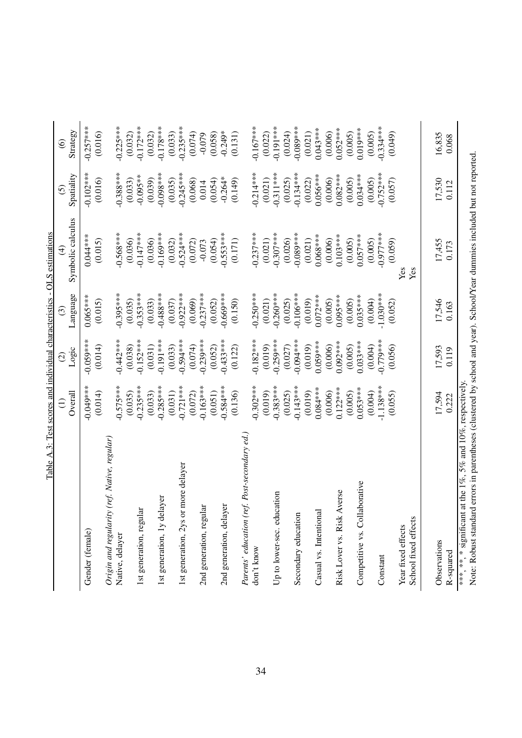<span id="page-36-0"></span>

|                                                                                                                                                                                           |             |             |             | Table A.3: Test scores and individual characteristics - OLS estimations |             |             |
|-------------------------------------------------------------------------------------------------------------------------------------------------------------------------------------------|-------------|-------------|-------------|-------------------------------------------------------------------------|-------------|-------------|
|                                                                                                                                                                                           | Ξ           | $\odot$     |             | 4                                                                       | ତି          | $\odot$     |
|                                                                                                                                                                                           | Overall     | Logic       | Language    | Symbolic calculus                                                       | Spatiality  | Strategy    |
| Gender (female)                                                                                                                                                                           | $-0.049***$ | $-0.059***$ | $0.065***$  | $0.044***$                                                              | $-0.102***$ | $-0.257***$ |
|                                                                                                                                                                                           | (0.014)     | (0.014)     | (0.015)     | (0.015)                                                                 | (0.016)     | (0.016)     |
| (ref. Native, regular)<br>Origin and regularity                                                                                                                                           |             |             |             |                                                                         |             |             |
| Native, delayer                                                                                                                                                                           | $-0.575***$ | $-0.442***$ | $-0.395***$ | $-0.568***$                                                             | $-0.388***$ | $-0.225***$ |
|                                                                                                                                                                                           | (0.035)     | (0.038)     | (0.035)     | (0.036)                                                                 | (0.033)     | (0.032)     |
| 1st generation, regular                                                                                                                                                                   | $-0.235***$ | $-0.152***$ | $-0.353***$ | $-0.147***$                                                             | $-0.095**$  | $-0.172***$ |
|                                                                                                                                                                                           | (0.033)     | (0.031)     | (0.033)     | (0.036)                                                                 | (0.039)     | (0.032)     |
| 1st generation, 1y delayer                                                                                                                                                                | $-0.285***$ | $0.191***$  | $0.488***$  | $-0.169***$                                                             | $0.098***$  | $0.178***$  |
|                                                                                                                                                                                           | (0.031)     | (0.033)     | (0.037)     | (0.032)                                                                 | (0.035)     | (0.033)     |
| 1st generation, 2ys or more delayer                                                                                                                                                       | $-0.721***$ | $-0.594***$ | $-0.922***$ | $-0.524***$                                                             | $-0.245***$ | $-0.235***$ |
|                                                                                                                                                                                           | (0.072)     | (0.074)     | (0.069)     | (0.072)                                                                 | (0.068)     | (0.074)     |
| 2nd generation, regular                                                                                                                                                                   | $-0.163***$ | $0.239***$  | $-0.237***$ | $-0.073$                                                                | 0.014       | $-0.079$    |
|                                                                                                                                                                                           | (0.051)     | (0.052)     | (0.052)     | (0.054)                                                                 | (0.054)     | (0.058)     |
| 2nd generation, delayer                                                                                                                                                                   | $-0.584***$ | $0.433***$  | $0.669***$  | $-0.553***$                                                             | $-0.264*$   | $-0.249*$   |
|                                                                                                                                                                                           | (0.136)     | (0.122)     | (0.150)     | (0.171)                                                                 | (0.149)     | (0.131)     |
| Parents' education (ref. Post-secondary ed.                                                                                                                                               |             |             |             |                                                                         |             |             |
| don't know                                                                                                                                                                                | $-0.302***$ | $-0.182***$ | $-0.250***$ | $-0.237***$                                                             | $-0.214***$ | $-0.167***$ |
|                                                                                                                                                                                           | (0.019)     | (0.019)     | (0.021)     | (0.021)                                                                 | (0.021)     | (0.022)     |
| Up to lower-sec. education                                                                                                                                                                | $0.383***$  | $0.259***$  | $0.260***$  | $-0.307***$                                                             | $0.311***$  | $0.191***$  |
|                                                                                                                                                                                           | (0.025)     | (0.027)     | (0.025)     | (0.026)                                                                 | (0.025)     | (0.024)     |
| Secondary education                                                                                                                                                                       | $-0.143***$ | $-0.094***$ | $-0.106***$ | $-0.089***$                                                             | $-0.134***$ | $0.089***$  |
|                                                                                                                                                                                           | (0.019)     | (0.019)     | (0.019)     | (0.021)                                                                 | (0.022)     | (0.021)     |
| Casual vs. Intentional                                                                                                                                                                    | $0.084***$  | $0.059***$  | $0.072***$  | $0.068***$                                                              | $0.056***$  | $0.043***$  |
|                                                                                                                                                                                           | (0.006)     | (0.006)     | (0.005)     | (0.006)                                                                 | (0.006)     | (0.006)     |
| Risk Lover vs. Risk Averse                                                                                                                                                                | $0.122***$  | $0.092***$  | $0.095***$  | $0.103***$                                                              | $0.082***$  | $0.052***$  |
|                                                                                                                                                                                           | (0.005)     | (0.005)     | (0.005)     | (0.005)                                                                 | (0.005)     | (0.005)     |
| Competitive vs. Collaborative                                                                                                                                                             | $0.053***$  | $0.033***$  | $0.035***$  | $0.057***$                                                              | $0.034***$  | $0.019***$  |
|                                                                                                                                                                                           | (0.004)     | (0.004)     | (0.004)     | (0.005)                                                                 | (0.005)     | (0.005)     |
| Constant                                                                                                                                                                                  | $-1.138***$ | $-0.779***$ | $-1.030***$ | $-0.977***$                                                             | $-0.752***$ | $0.334***$  |
|                                                                                                                                                                                           | (0.055)     | (0.056)     | (0.052)     | (0.059)                                                                 | (0.057)     | (0.049)     |
| Year fixed effects                                                                                                                                                                        |             |             |             | Yes                                                                     |             |             |
| School fixed effects                                                                                                                                                                      |             |             |             | Yes                                                                     |             |             |
|                                                                                                                                                                                           |             |             |             |                                                                         |             |             |
| Observations                                                                                                                                                                              | 17,594      | 17,593      | 17,546      | 17,455                                                                  | 17,530      | 16,835      |
| R-squared                                                                                                                                                                                 | 0.222       | 0.119       | 0.163       | 0.173                                                                   | 0.112       | 0.068       |
| Note: Robust standard errors in parentheses (clustered by school and year). School Near dummies included but not reported<br>at the 1%, 5% and 10%, respectively.<br>*** ** * significant |             |             |             |                                                                         |             |             |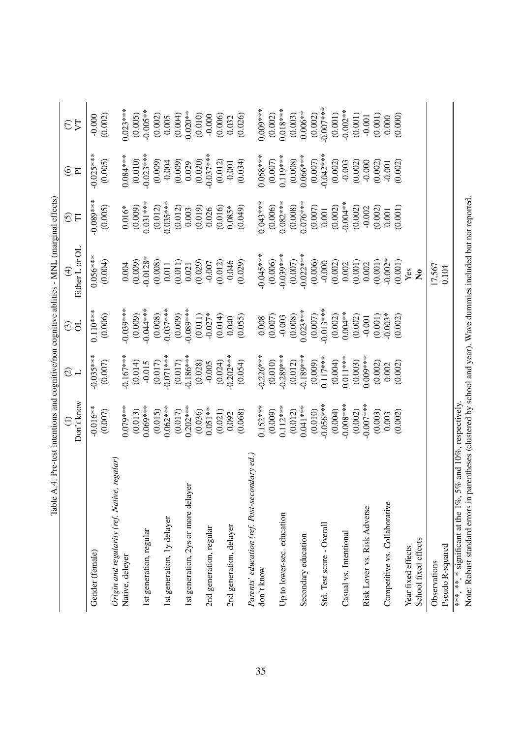<span id="page-37-0"></span>

| Table.                                                      |                               |                                                     |                        | A.4: Pre-test intentions and cognitive/non cognitive ablities - MNL (marginal effects) |                        |                        |                         |
|-------------------------------------------------------------|-------------------------------|-----------------------------------------------------|------------------------|----------------------------------------------------------------------------------------|------------------------|------------------------|-------------------------|
|                                                             | Don't know<br>$\widehat{\Xi}$ | $\widehat{\mathcal{O}}$<br>$\overline{\phantom{0}}$ | ð<br>$\odot$           | Either L or OL<br>$\widehat{\mathcal{F}}$                                              | $\widehat{\odot}$<br>F | $\widehat{\circ}$<br>E | 77<br>$\epsilon$        |
| Gender (female)                                             | $-0.016**$<br>(0.007)         | $0.035***$<br>(0.007)                               | $0.110***$<br>(0.006)  | $0.056***$<br>(0.004)                                                                  | $-0.089***$<br>(0.005) | $-0.025***$<br>(0.005) | (0.002)<br>$-0.000$     |
| Origin and regularity (ref. Native, regular)                |                               |                                                     |                        |                                                                                        |                        |                        |                         |
| Native, deleyer                                             | $0.079***$                    | $-0.167***$                                         | $-0.039***$            | 0.004                                                                                  | $0.016*$               | $0.084***$             | $0.023***$              |
|                                                             | (0.013)                       | (0.014)                                             | (0.009)                | (0.009)                                                                                | (0.009)                | (0.010)                | (0.005)                 |
| 1st generation, regular                                     | $0.069***$                    | $-0.015$                                            | $-0.044***$            | $-0.0128*$                                                                             | $0.031***$             | $-0.023***$            | $-0.005**$              |
| 1st generation, 1y delayer                                  | $0.062***$<br>(0.015)         | $-0.071***$<br>(0.017)                              | $-0.037***$<br>(0.008) | (0.008)<br>0.011                                                                       | $0.035***$<br>(0.012)  | (0.009)<br>$-0.004$    | (0.002)<br>0.005        |
|                                                             | (0.017)                       | (0.017)                                             | (0.009)                | (0.011)                                                                                | (0.012)                | (0.009)                | (0.004)                 |
| <b>F</b><br>1st generation, 2ys or more delay               | $0.202***$                    | $-0.186***$                                         | $-0.089***$            | 0.021                                                                                  | 0.003                  | 0.029                  | $0.020**$               |
|                                                             | (0.036)                       | (0.028)                                             | (0.011)                | (0.029)                                                                                | (0.019)                | (0.020)                | (0.010)                 |
| 2nd generation, regular                                     | $0.051**$                     | $-0.005$                                            | $-0.027*$              | $-0.007$                                                                               | 0.026                  | $-0.037***$            | $-0.000$                |
|                                                             | (0.021)                       | $-0.202***$<br>(0.024)                              | (0.014)                | (0.012)                                                                                | (0.016)                | (0.012)                | (0.006)                 |
| 2nd generation, delayer                                     | (0.068)<br>0.092              | (0.054)                                             | (0.055)<br>0.040       | $-0.046$<br>(0.029)                                                                    | $0.085*$<br>(0.049)    | (0.034)<br>$-0.001$    | (0.026)<br>0.032        |
| Parents' education (ref. Post-secondary ed.,                |                               |                                                     |                        |                                                                                        |                        |                        |                         |
| don't know                                                  | $0.152***$                    | $0.226***$                                          | $0.008$                | $-0.045***$                                                                            | $0.043***$             | $0.058***$             | $0.009***$              |
|                                                             | (0.009)                       | (0.010)                                             | (0.007)                | (0.006)                                                                                | (0.006)                | (0.007)                | (0.002)                 |
| Up to lower-sec. education                                  | $0.112***$                    | $0.289***$                                          | $-0.003$               | $-0.039***$                                                                            | $0.082***$             | $0.119***$             | $0.018***$              |
|                                                             | (0.012)                       | (0.012)                                             | (0.008)                | (0.007)                                                                                | (0.008)                | (0.008)                | (0.003)                 |
| Secondary education                                         | $0.041***$                    | $-0.189***$                                         | $0.023***$             | $-0.022***$                                                                            | $0.076***$             | $0.066***$             | $0.006**$               |
|                                                             | (0.010)                       | (0.009)                                             | (0.007)                | (0.006)                                                                                | (0.007)                | (0.007)                | (0.002)                 |
| Std. Test score - Overall                                   | $-0.056***$<br>(0.004)        | $0.117***$<br>(0.004)                               | $-0.013***$<br>(0.002) | $-0.000$<br>(0.002)                                                                    | (0.002)<br>0.001       | $-0.042***$<br>(0.002) | $-0.007$ ***<br>(0.001) |
| Casual vs. Intentional                                      | $0.008***$                    | $0.011***$                                          | $0.004**$              | 0.002                                                                                  | $-0.000$ .             | $-0.003$               | $-0.002**$              |
|                                                             | (0.002)                       | (0.003)                                             | (0.002)                | (0.001)                                                                                | (0.002)                | (0.002)                | (0.001)                 |
| Risk Lover vs. Risk Adverse                                 | $0.007***$                    | $0.009***$                                          | $-0.001$               | 0.002                                                                                  | $-0.002$               | $-0.000$               | $-0.001$                |
|                                                             | (0.003)                       | (0.002)                                             | (0.001)                | (0.001)                                                                                | (0.002)                | (0.002)                | (0.001)                 |
| Competitive vs. Collaborative                               | 0.003                         | 0.002                                               | $-0.003*$              | $-0.002*$                                                                              | 0.001                  | $-0.001$               | 0.000                   |
|                                                             | (0.002)                       | (0.002)                                             | (0.002)                | (0.001)                                                                                | (0.001)                | (0.002)                | (0.000)                 |
| Year fixed effects                                          |                               |                                                     |                        | $\mathbf{Yes}$                                                                         |                        |                        |                         |
| School fixed effects                                        |                               |                                                     |                        | $\mathbf{\hat{z}}$                                                                     |                        |                        |                         |
| Observations                                                |                               |                                                     |                        | 17,567                                                                                 |                        |                        |                         |
| Pseudo R-squared                                            |                               |                                                     |                        | 0.104                                                                                  |                        |                        |                         |
| ***, **, * significant at the 1%, 5% and 10%, respectively. |                               |                                                     |                        |                                                                                        |                        |                        |                         |

Note: Robust standard errors in parentheses (clustered by school and year). Wave dummies included but not reported. Note: Robust standard errors in parentheses (clustered by school and year). Wave dummies included but not reported.